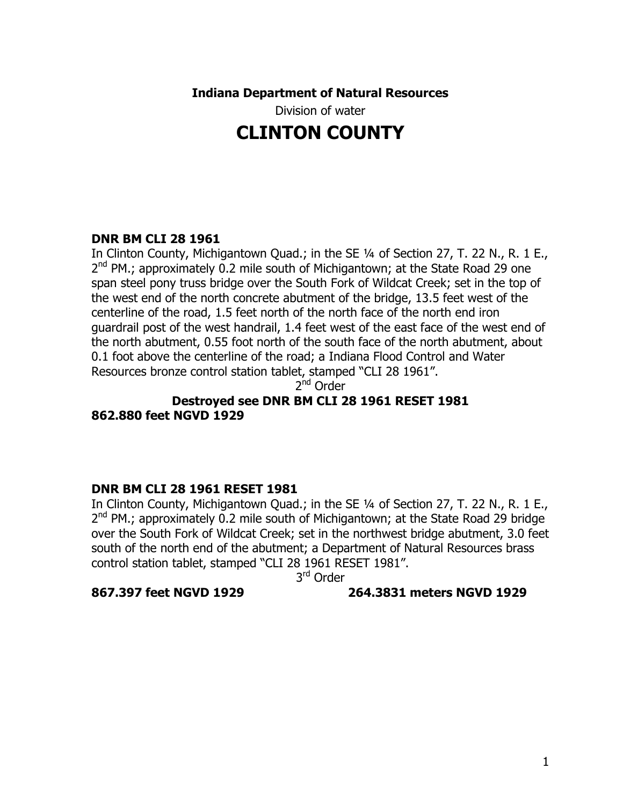**Indiana Department of Natural Resources** 

Division of water

# **CLINTON COUNTY**

## **DNR BM CLI 28 1961**

In Clinton County, Michigantown Quad.; in the SE 1/4 of Section 27, T. 22 N., R. 1 E., 2<sup>nd</sup> PM.; approximately 0.2 mile south of Michigantown; at the State Road 29 one span steel pony truss bridge over the South Fork of Wildcat Creek; set in the top of the west end of the north concrete abutment of the bridge, 13.5 feet west of the centerline of the road, 1.5 feet north of the north face of the north end iron guardrail post of the west handrail, 1.4 feet west of the east face of the west end of the north abutment, 0.55 foot north of the south face of the north abutment, about 0.1 foot above the centerline of the road; a Indiana Flood Control and Water Resources bronze control station tablet, stamped "CLI 28 1961".

2<sup>nd</sup> Order

**Destroyed see DNR BM CLI 28 1961 RESET 1981 862.880 feet NGVD 1929** 

#### **DNR BM CLI 28 1961 RESET 1981**

In Clinton County, Michigantown Quad.; in the SE 1/4 of Section 27, T. 22 N., R. 1 E.,  $2^{nd}$  PM.; approximately 0.2 mile south of Michigantown; at the State Road 29 bridge over the South Fork of Wildcat Creek; set in the northwest bridge abutment, 3.0 feet south of the north end of the abutment; a Department of Natural Resources brass control station tablet, stamped "CLI 28 1961 RESET 1981".

3rd Order

#### **867.397 feet NGVD 1929 264.3831 meters NGVD 1929**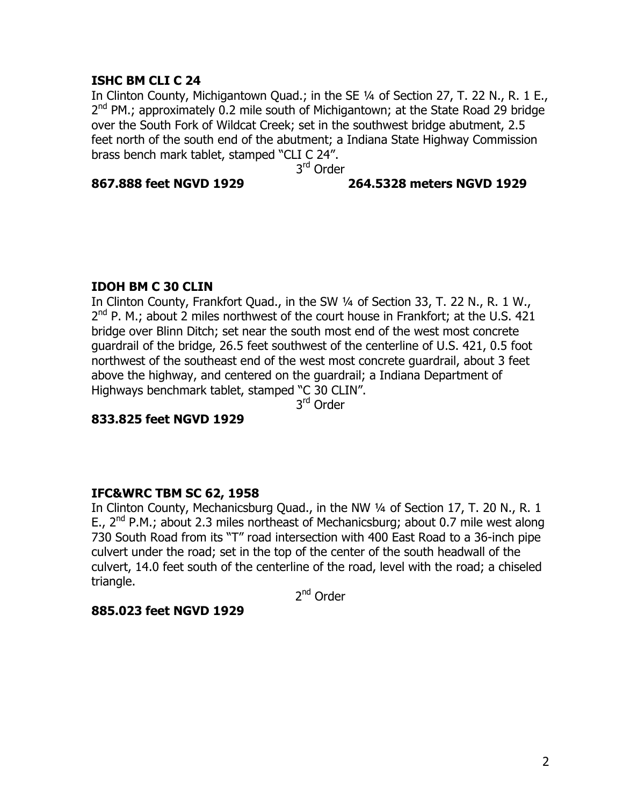#### **ISHC BM CLI C 24**

In Clinton County, Michigantown Quad.; in the SE 1/4 of Section 27, T. 22 N., R. 1 E.,  $2^{nd}$  PM.; approximately 0.2 mile south of Michigantown; at the State Road 29 bridge over the South Fork of Wildcat Creek; set in the southwest bridge abutment, 2.5 feet north of the south end of the abutment; a Indiana State Highway Commission brass bench mark tablet, stamped "CLI C 24".

3<sup>rd</sup> Order

#### **867.888 feet NGVD 1929 264.5328 meters NGVD 1929**

## **IDOH BM C 30 CLIN**

In Clinton County, Frankfort Quad., in the SW ¼ of Section 33, T. 22 N., R. 1 W.,  $2^{nd}$  P. M.; about 2 miles northwest of the court house in Frankfort; at the U.S. 421 bridge over Blinn Ditch; set near the south most end of the west most concrete guardrail of the bridge, 26.5 feet southwest of the centerline of U.S. 421, 0.5 foot northwest of the southeast end of the west most concrete guardrail, about 3 feet above the highway, and centered on the guardrail; a Indiana Department of Highways benchmark tablet, stamped "C 30 CLIN".

3rd Order

**833.825 feet NGVD 1929** 

## **IFC&WRC TBM SC 62, 1958**

In Clinton County, Mechanicsburg Quad., in the NW ¼ of Section 17, T. 20 N., R. 1 E.,  $2^{nd}$  P.M.; about 2.3 miles northeast of Mechanicsburg; about 0.7 mile west along 730 South Road from its "T" road intersection with 400 East Road to a 36-inch pipe culvert under the road; set in the top of the center of the south headwall of the culvert, 14.0 feet south of the centerline of the road, level with the road; a chiseled triangle.

2nd Order

## **885.023 feet NGVD 1929**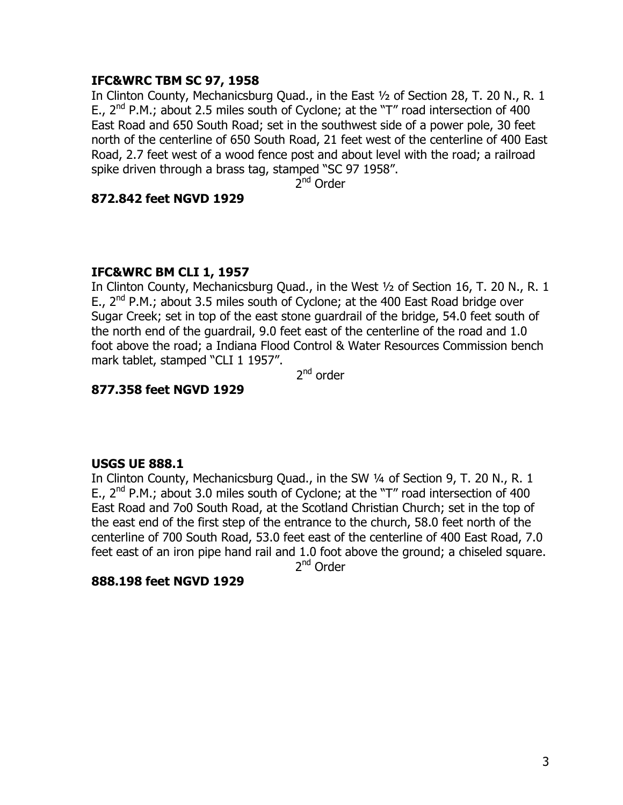## **IFC&WRC TBM SC 97, 1958**

In Clinton County, Mechanicsburg Quad., in the East ½ of Section 28, T. 20 N., R. 1 E.,  $2^{nd}$  P.M.; about 2.5 miles south of Cyclone; at the "T" road intersection of 400 East Road and 650 South Road; set in the southwest side of a power pole, 30 feet north of the centerline of 650 South Road, 21 feet west of the centerline of 400 East Road, 2.7 feet west of a wood fence post and about level with the road; a railroad spike driven through a brass tag, stamped "SC 97 1958".

2<sup>nd</sup> Order

#### **872.842 feet NGVD 1929**

## **IFC&WRC BM CLI 1, 1957**

In Clinton County, Mechanicsburg Quad., in the West ½ of Section 16, T. 20 N., R. 1 E.,  $2^{nd}$  P.M.; about 3.5 miles south of Cyclone; at the 400 East Road bridge over Sugar Creek; set in top of the east stone guardrail of the bridge, 54.0 feet south of the north end of the guardrail, 9.0 feet east of the centerline of the road and 1.0 foot above the road; a Indiana Flood Control & Water Resources Commission bench mark tablet, stamped "CLI 1 1957".

 $2<sup>nd</sup>$  order

## **877.358 feet NGVD 1929**

#### **USGS UE 888.1**

In Clinton County, Mechanicsburg Quad., in the SW 1/4 of Section 9, T. 20 N., R. 1 E.,  $2^{nd}$  P.M.; about 3.0 miles south of Cyclone; at the "T" road intersection of 400 East Road and 7o0 South Road, at the Scotland Christian Church; set in the top of the east end of the first step of the entrance to the church, 58.0 feet north of the centerline of 700 South Road, 53.0 feet east of the centerline of 400 East Road, 7.0 feet east of an iron pipe hand rail and 1.0 foot above the ground; a chiseled square.

2<sup>nd</sup> Order

#### **888.198 feet NGVD 1929**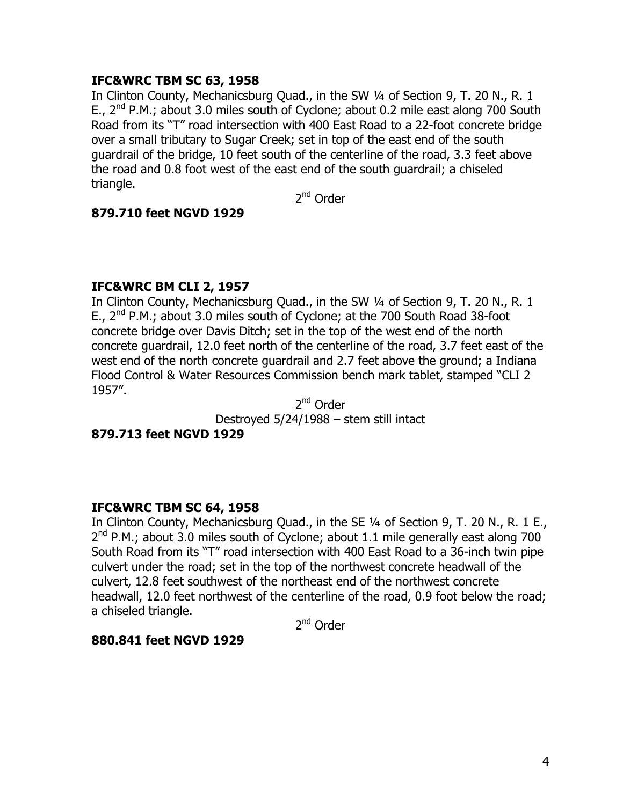## **IFC&WRC TBM SC 63, 1958**

In Clinton County, Mechanicsburg Quad., in the SW 1/4 of Section 9, T. 20 N., R. 1 E.,  $2^{nd}$  P.M.; about 3.0 miles south of Cyclone; about 0.2 mile east along 700 South Road from its "T" road intersection with 400 East Road to a 22-foot concrete bridge over a small tributary to Sugar Creek; set in top of the east end of the south guardrail of the bridge, 10 feet south of the centerline of the road, 3.3 feet above the road and 0.8 foot west of the east end of the south guardrail; a chiseled triangle.

2nd Order

#### **879.710 feet NGVD 1929**

#### **IFC&WRC BM CLI 2, 1957**

In Clinton County, Mechanicsburg Quad., in the SW 1/4 of Section 9, T. 20 N., R. 1 E.,  $2^{nd}$  P.M.; about 3.0 miles south of Cyclone; at the 700 South Road 38-foot concrete bridge over Davis Ditch; set in the top of the west end of the north concrete guardrail, 12.0 feet north of the centerline of the road, 3.7 feet east of the west end of the north concrete guardrail and 2.7 feet above the ground; a Indiana Flood Control & Water Resources Commission bench mark tablet, stamped "CLI 2 1957".

2<sup>nd</sup> Order Destroyed 5/24/1988 – stem still intact

## **879.713 feet NGVD 1929**

#### **IFC&WRC TBM SC 64, 1958**

In Clinton County, Mechanicsburg Quad., in the SE 1/4 of Section 9, T. 20 N., R. 1 E.,  $2<sup>nd</sup>$  P.M.; about 3.0 miles south of Cyclone; about 1.1 mile generally east along 700 South Road from its "T" road intersection with 400 East Road to a 36-inch twin pipe culvert under the road; set in the top of the northwest concrete headwall of the culvert, 12.8 feet southwest of the northeast end of the northwest concrete headwall, 12.0 feet northwest of the centerline of the road, 0.9 foot below the road; a chiseled triangle.

2nd Order

#### **880.841 feet NGVD 1929**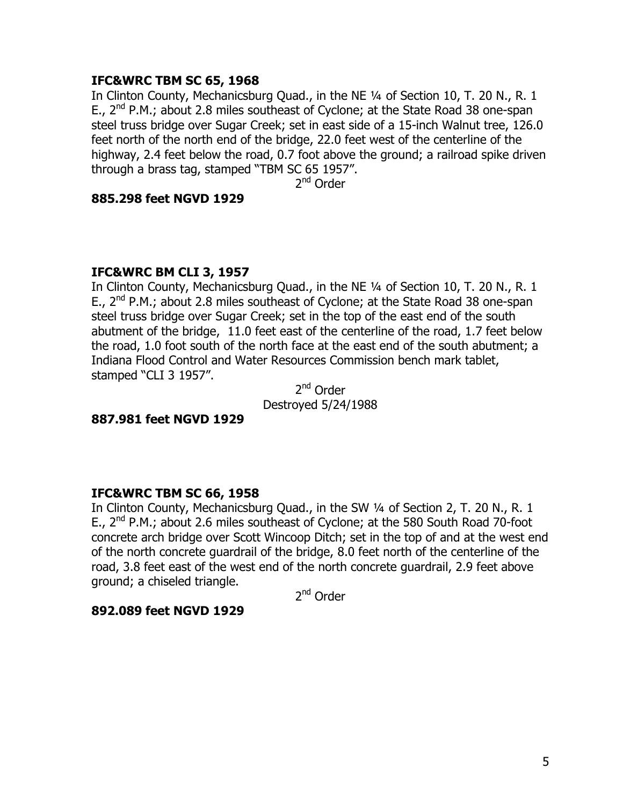### **IFC&WRC TBM SC 65, 1968**

In Clinton County, Mechanicsburg Ouad., in the NE 1/4 of Section 10, T. 20 N., R. 1 E., 2<sup>nd</sup> P.M.; about 2.8 miles southeast of Cyclone; at the State Road 38 one-span steel truss bridge over Sugar Creek; set in east side of a 15-inch Walnut tree, 126.0 feet north of the north end of the bridge, 22.0 feet west of the centerline of the highway, 2.4 feet below the road, 0.7 foot above the ground; a railroad spike driven through a brass tag, stamped "TBM SC 65 1957".

2<sup>nd</sup> Order

#### **885.298 feet NGVD 1929**

#### **IFC&WRC BM CLI 3, 1957**

In Clinton County, Mechanicsburg Quad., in the NE 1/4 of Section 10, T. 20 N., R. 1 E.,  $2^{nd}$  P.M.; about 2.8 miles southeast of Cyclone; at the State Road 38 one-span steel truss bridge over Sugar Creek; set in the top of the east end of the south abutment of the bridge, 11.0 feet east of the centerline of the road, 1.7 feet below the road, 1.0 foot south of the north face at the east end of the south abutment; a Indiana Flood Control and Water Resources Commission bench mark tablet, stamped "CLI 3 1957".

2nd Order Destroyed 5/24/1988

#### **887.981 feet NGVD 1929**

#### **IFC&WRC TBM SC 66, 1958**

In Clinton County, Mechanicsburg Quad., in the SW 1/4 of Section 2, T. 20 N., R. 1 E.,  $2^{nd}$  P.M.; about 2.6 miles southeast of Cyclone; at the 580 South Road 70-foot concrete arch bridge over Scott Wincoop Ditch; set in the top of and at the west end of the north concrete guardrail of the bridge, 8.0 feet north of the centerline of the road, 3.8 feet east of the west end of the north concrete guardrail, 2.9 feet above ground; a chiseled triangle.

2<sup>nd</sup> Order

## **892.089 feet NGVD 1929**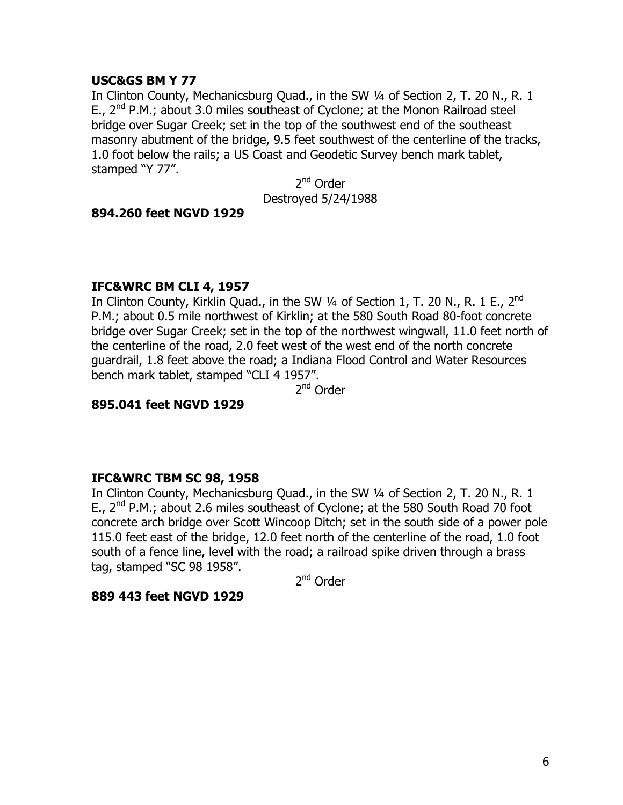## **USC&GS BM Y 77**

In Clinton County, Mechanicsburg Ouad., in the SW 1/4 of Section 2, T. 20 N., R. 1 E.,  $2^{nd}$  P.M.; about 3.0 miles southeast of Cyclone; at the Monon Railroad steel bridge over Sugar Creek; set in the top of the southwest end of the southeast masonry abutment of the bridge, 9.5 feet southwest of the centerline of the tracks, 1.0 foot below the rails; a US Coast and Geodetic Survey bench mark tablet, stamped "Y 77".

2<sup>nd</sup> Order Destroyed 5/24/1988

## **894.260 feet NGVD 1929**

## **IFC&WRC BM CLI 4, 1957**

In Clinton County, Kirklin Quad., in the SW  $\frac{1}{4}$  of Section 1, T. 20 N., R. 1 E., 2<sup>nd</sup> P.M.; about 0.5 mile northwest of Kirklin; at the 580 South Road 80-foot concrete bridge over Sugar Creek; set in the top of the northwest wingwall, 11.0 feet north of the centerline of the road, 2.0 feet west of the west end of the north concrete guardrail, 1.8 feet above the road; a Indiana Flood Control and Water Resources bench mark tablet, stamped "CLI 4 1957".

2nd Order

## **895.041 feet NGVD 1929**

#### **IFC&WRC TBM SC 98, 1958**

In Clinton County, Mechanicsburg Quad., in the SW 1/4 of Section 2, T. 20 N., R. 1 E.,  $2^{nd}$  P.M.; about 2.6 miles southeast of Cyclone; at the 580 South Road 70 foot concrete arch bridge over Scott Wincoop Ditch; set in the south side of a power pole 115.0 feet east of the bridge, 12.0 feet north of the centerline of the road, 1.0 foot south of a fence line, level with the road; a railroad spike driven through a brass tag, stamped "SC 98 1958".

2nd Order

#### **889 443 feet NGVD 1929**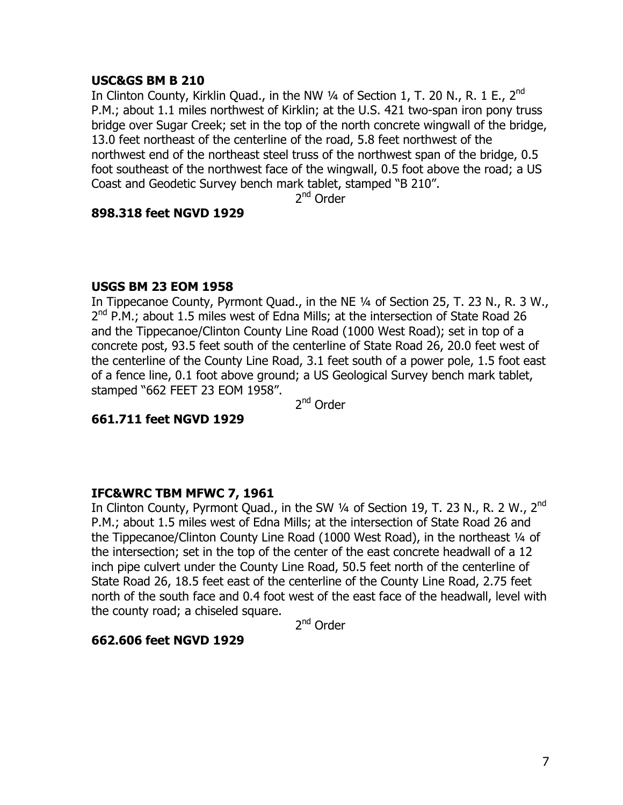#### **USC&GS BM B 210**

In Clinton County, Kirklin Quad., in the NW 1/4 of Section 1, T. 20 N., R. 1 E., 2<sup>nd</sup> P.M.; about 1.1 miles northwest of Kirklin; at the U.S. 421 two-span iron pony truss bridge over Sugar Creek; set in the top of the north concrete wingwall of the bridge, 13.0 feet northeast of the centerline of the road, 5.8 feet northwest of the northwest end of the northeast steel truss of the northwest span of the bridge, 0.5 foot southeast of the northwest face of the wingwall, 0.5 foot above the road; a US Coast and Geodetic Survey bench mark tablet, stamped "B 210".

2nd Order

#### **898.318 feet NGVD 1929**

#### **USGS BM 23 EOM 1958**

In Tippecanoe County, Pyrmont Quad., in the NE ¼ of Section 25, T. 23 N., R. 3 W.,  $2^{nd}$  P.M.; about 1.5 miles west of Edna Mills; at the intersection of State Road 26 and the Tippecanoe/Clinton County Line Road (1000 West Road); set in top of a concrete post, 93.5 feet south of the centerline of State Road 26, 20.0 feet west of the centerline of the County Line Road, 3.1 feet south of a power pole, 1.5 foot east of a fence line, 0.1 foot above ground; a US Geological Survey bench mark tablet, stamped "662 FEET 23 EOM 1958".

2<sup>nd</sup> Order

**661.711 feet NGVD 1929** 

#### **IFC&WRC TBM MFWC 7, 1961**

In Clinton County, Pyrmont Quad., in the SW 1/4 of Section 19, T. 23 N., R. 2 W., 2<sup>nd</sup> P.M.; about 1.5 miles west of Edna Mills; at the intersection of State Road 26 and the Tippecanoe/Clinton County Line Road (1000 West Road), in the northeast 1/4 of the intersection; set in the top of the center of the east concrete headwall of a 12 inch pipe culvert under the County Line Road, 50.5 feet north of the centerline of State Road 26, 18.5 feet east of the centerline of the County Line Road, 2.75 feet north of the south face and 0.4 foot west of the east face of the headwall, level with the county road; a chiseled square.

2nd Order

#### **662.606 feet NGVD 1929**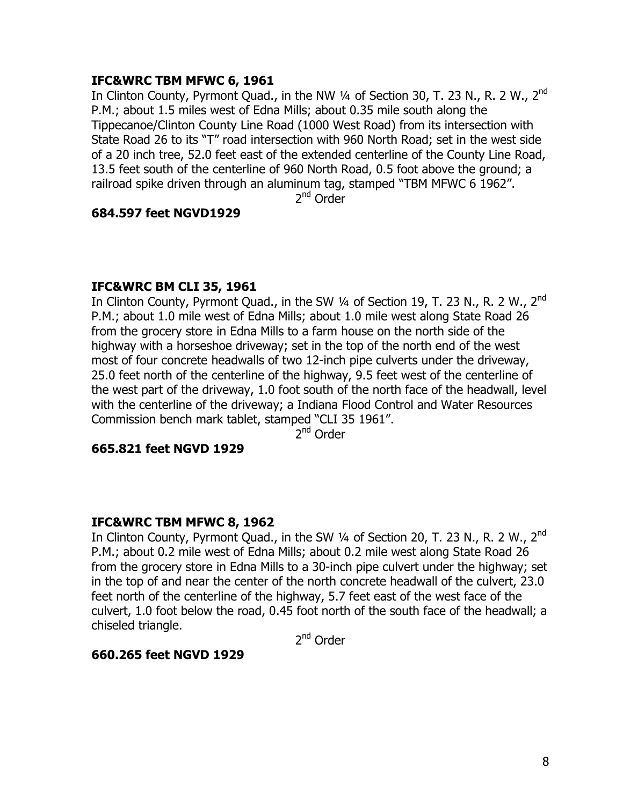## **IFC&WRC TBM MFWC 6, 1961**

In Clinton County, Pyrmont Ouad., in the NW  $\frac{1}{4}$  of Section 30, T, 23 N,, R, 2 W,, 2<sup>nd</sup> P.M.; about 1.5 miles west of Edna Mills; about 0.35 mile south along the Tippecanoe/Clinton County Line Road (1000 West Road) from its intersection with State Road 26 to its "T" road intersection with 960 North Road; set in the west side of a 20 inch tree, 52.0 feet east of the extended centerline of the County Line Road, 13.5 feet south of the centerline of 960 North Road, 0.5 foot above the ground; a railroad spike driven through an aluminum tag, stamped "TBM MFWC 6 1962".

2nd Order

## **684.597 feet NGVD1929**

## **IFC&WRC BM CLI 35, 1961**

In Clinton County, Pyrmont Quad., in the SW 1/4 of Section 19, T. 23 N., R. 2 W., 2<sup>nd</sup> P.M.; about 1.0 mile west of Edna Mills; about 1.0 mile west along State Road 26 from the grocery store in Edna Mills to a farm house on the north side of the highway with a horseshoe driveway; set in the top of the north end of the west most of four concrete headwalls of two 12-inch pipe culverts under the driveway, 25.0 feet north of the centerline of the highway, 9.5 feet west of the centerline of the west part of the driveway, 1.0 foot south of the north face of the headwall, level with the centerline of the driveway; a Indiana Flood Control and Water Resources Commission bench mark tablet, stamped "CLI 35 1961".

2nd Order

#### **665.821 feet NGVD 1929**

#### **IFC&WRC TBM MFWC 8, 1962**

In Clinton County, Pyrmont Quad., in the SW  $\frac{1}{4}$  of Section 20, T. 23 N., R. 2 W., 2<sup>nd</sup> P.M.; about 0.2 mile west of Edna Mills; about 0.2 mile west along State Road 26 from the grocery store in Edna Mills to a 30-inch pipe culvert under the highway; set in the top of and near the center of the north concrete headwall of the culvert, 23.0 feet north of the centerline of the highway, 5.7 feet east of the west face of the culvert, 1.0 foot below the road, 0.45 foot north of the south face of the headwall; a chiseled triangle.

2<sup>nd</sup> Order

#### **660.265 feet NGVD 1929**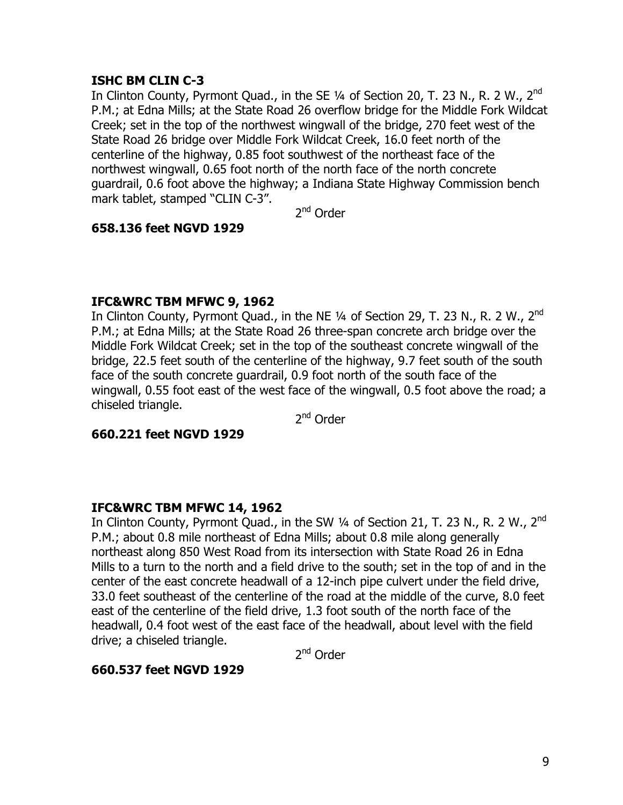## **ISHC BM CLIN C-3**

In Clinton County, Pyrmont Quad., in the SE  $\frac{1}{4}$  of Section 20, T. 23 N., R. 2 W., 2<sup>nd</sup> P.M.; at Edna Mills; at the State Road 26 overflow bridge for the Middle Fork Wildcat Creek; set in the top of the northwest wingwall of the bridge, 270 feet west of the State Road 26 bridge over Middle Fork Wildcat Creek, 16.0 feet north of the centerline of the highway, 0.85 foot southwest of the northeast face of the northwest wingwall, 0.65 foot north of the north face of the north concrete guardrail, 0.6 foot above the highway; a Indiana State Highway Commission bench mark tablet, stamped "CLIN C-3".

2<sup>nd</sup> Order

## **658.136 feet NGVD 1929**

## **IFC&WRC TBM MFWC 9, 1962**

In Clinton County, Pyrmont Quad., in the NE  $\frac{1}{4}$  of Section 29, T. 23 N., R. 2 W., 2<sup>nd</sup> P.M.; at Edna Mills; at the State Road 26 three-span concrete arch bridge over the Middle Fork Wildcat Creek; set in the top of the southeast concrete wingwall of the bridge, 22.5 feet south of the centerline of the highway, 9.7 feet south of the south face of the south concrete guardrail, 0.9 foot north of the south face of the wingwall, 0.55 foot east of the west face of the wingwall, 0.5 foot above the road; a chiseled triangle.

2<sup>nd</sup> Order

## **660.221 feet NGVD 1929**

## **IFC&WRC TBM MFWC 14, 1962**

In Clinton County, Pyrmont Quad., in the SW  $\frac{1}{4}$  of Section 21, T. 23 N., R. 2 W., 2<sup>nd</sup> P.M.; about 0.8 mile northeast of Edna Mills; about 0.8 mile along generally northeast along 850 West Road from its intersection with State Road 26 in Edna Mills to a turn to the north and a field drive to the south; set in the top of and in the center of the east concrete headwall of a 12-inch pipe culvert under the field drive, 33.0 feet southeast of the centerline of the road at the middle of the curve, 8.0 feet east of the centerline of the field drive, 1.3 foot south of the north face of the headwall, 0.4 foot west of the east face of the headwall, about level with the field drive; a chiseled triangle.

2<sup>nd</sup> Order

## **660.537 feet NGVD 1929**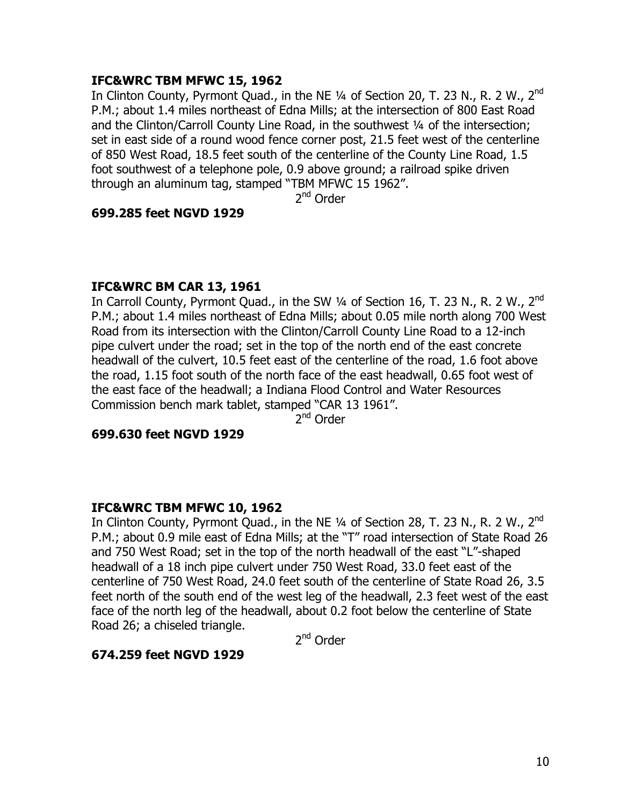## **IFC&WRC TBM MFWC 15, 1962**

In Clinton County, Pyrmont Quad., in the NE 1/4 of Section 20, T. 23 N., R. 2 W., 2<sup>nd</sup> P.M.; about 1.4 miles northeast of Edna Mills; at the intersection of 800 East Road and the Clinton/Carroll County Line Road, in the southwest ¼ of the intersection; set in east side of a round wood fence corner post, 21.5 feet west of the centerline of 850 West Road, 18.5 feet south of the centerline of the County Line Road, 1.5 foot southwest of a telephone pole, 0.9 above ground; a railroad spike driven through an aluminum tag, stamped "TBM MFWC 15 1962".

2nd Order

#### **699.285 feet NGVD 1929**

#### **IFC&WRC BM CAR 13, 1961**

In Carroll County, Pyrmont Quad., in the SW  $\frac{1}{4}$  of Section 16, T. 23 N., R. 2 W., 2<sup>nd</sup> P.M.; about 1.4 miles northeast of Edna Mills; about 0.05 mile north along 700 West Road from its intersection with the Clinton/Carroll County Line Road to a 12-inch pipe culvert under the road; set in the top of the north end of the east concrete headwall of the culvert, 10.5 feet east of the centerline of the road, 1.6 foot above the road, 1.15 foot south of the north face of the east headwall, 0.65 foot west of the east face of the headwall; a Indiana Flood Control and Water Resources Commission bench mark tablet, stamped "CAR 13 1961".

2<sup>nd</sup> Order

#### **699.630 feet NGVD 1929**

#### **IFC&WRC TBM MFWC 10, 1962**

In Clinton County, Pyrmont Quad., in the NE  $\frac{1}{4}$  of Section 28, T. 23 N., R. 2 W., 2<sup>nd</sup> P.M.; about 0.9 mile east of Edna Mills; at the "T" road intersection of State Road 26 and 750 West Road; set in the top of the north headwall of the east "L"-shaped headwall of a 18 inch pipe culvert under 750 West Road, 33.0 feet east of the centerline of 750 West Road, 24.0 feet south of the centerline of State Road 26, 3.5 feet north of the south end of the west leg of the headwall, 2.3 feet west of the east face of the north leg of the headwall, about 0.2 foot below the centerline of State Road 26; a chiseled triangle.

2<sup>nd</sup> Order

#### **674.259 feet NGVD 1929**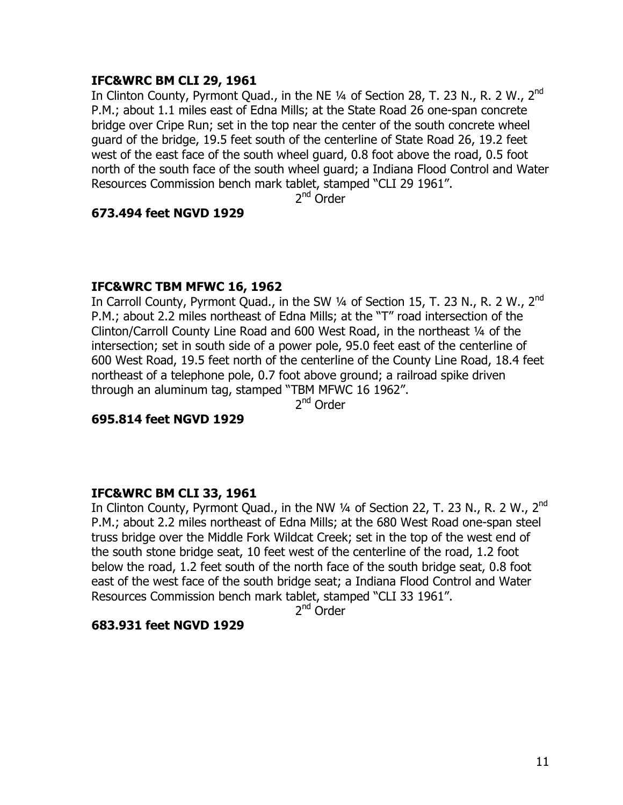## **IFC&WRC BM CLI 29, 1961**

In Clinton County, Pyrmont Quad., in the NE  $\frac{1}{4}$  of Section 28, T. 23 N., R. 2 W., 2<sup>nd</sup> P.M.; about 1.1 miles east of Edna Mills; at the State Road 26 one-span concrete bridge over Cripe Run; set in the top near the center of the south concrete wheel guard of the bridge, 19.5 feet south of the centerline of State Road 26, 19.2 feet west of the east face of the south wheel guard, 0.8 foot above the road, 0.5 foot north of the south face of the south wheel guard; a Indiana Flood Control and Water Resources Commission bench mark tablet, stamped "CLI 29 1961".

2nd Order

#### **673.494 feet NGVD 1929**

#### **IFC&WRC TBM MFWC 16, 1962**

In Carroll County, Pyrmont Quad., in the SW 1/4 of Section 15, T. 23 N., R. 2 W., 2<sup>nd</sup> P.M.; about 2.2 miles northeast of Edna Mills; at the "T" road intersection of the Clinton/Carroll County Line Road and 600 West Road, in the northeast ¼ of the intersection; set in south side of a power pole, 95.0 feet east of the centerline of 600 West Road, 19.5 feet north of the centerline of the County Line Road, 18.4 feet northeast of a telephone pole, 0.7 foot above ground; a railroad spike driven through an aluminum tag, stamped "TBM MFWC 16 1962".

2<sup>nd</sup> Order

**695.814 feet NGVD 1929** 

#### **IFC&WRC BM CLI 33, 1961**

In Clinton County, Pyrmont Quad., in the NW 1/4 of Section 22, T. 23 N., R. 2 W., 2<sup>nd</sup> P.M.; about 2.2 miles northeast of Edna Mills; at the 680 West Road one-span steel truss bridge over the Middle Fork Wildcat Creek; set in the top of the west end of the south stone bridge seat, 10 feet west of the centerline of the road, 1.2 foot below the road, 1.2 feet south of the north face of the south bridge seat, 0.8 foot east of the west face of the south bridge seat; a Indiana Flood Control and Water Resources Commission bench mark tablet, stamped "CLI 33 1961".

2<sup>nd</sup> Order

#### **683.931 feet NGVD 1929**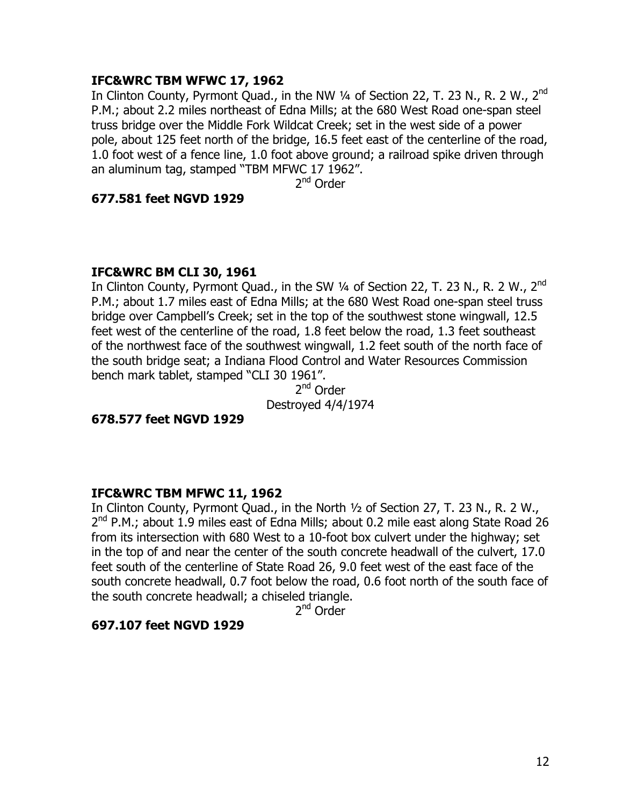## **IFC&WRC TBM WFWC 17, 1962**

In Clinton County, Pyrmont Quad., in the NW 1/4 of Section 22, T. 23 N., R. 2 W., 2<sup>nd</sup> P.M.; about 2.2 miles northeast of Edna Mills; at the 680 West Road one-span steel truss bridge over the Middle Fork Wildcat Creek; set in the west side of a power pole, about 125 feet north of the bridge, 16.5 feet east of the centerline of the road, 1.0 foot west of a fence line, 1.0 foot above ground; a railroad spike driven through an aluminum tag, stamped "TBM MFWC 17 1962".

2<sup>nd</sup> Order

#### **677.581 feet NGVD 1929**

#### **IFC&WRC BM CLI 30, 1961**

In Clinton County, Pyrmont Quad., in the SW 1/4 of Section 22, T. 23 N., R. 2 W., 2<sup>nd</sup> P.M.; about 1.7 miles east of Edna Mills; at the 680 West Road one-span steel truss bridge over Campbell's Creek; set in the top of the southwest stone wingwall, 12.5 feet west of the centerline of the road, 1.8 feet below the road, 1.3 feet southeast of the northwest face of the southwest wingwall, 1.2 feet south of the north face of the south bridge seat; a Indiana Flood Control and Water Resources Commission bench mark tablet, stamped "CLI 30 1961".

2nd Order Destroyed 4/4/1974

**678.577 feet NGVD 1929**

#### **IFC&WRC TBM MFWC 11, 1962**

In Clinton County, Pyrmont Quad., in the North ½ of Section 27, T. 23 N., R. 2 W.,  $2<sup>nd</sup>$  P.M.; about 1.9 miles east of Edna Mills; about 0.2 mile east along State Road 26 from its intersection with 680 West to a 10-foot box culvert under the highway; set in the top of and near the center of the south concrete headwall of the culvert, 17.0 feet south of the centerline of State Road 26, 9.0 feet west of the east face of the south concrete headwall, 0.7 foot below the road, 0.6 foot north of the south face of the south concrete headwall; a chiseled triangle.

2<sup>nd</sup> Order

## **697.107 feet NGVD 1929**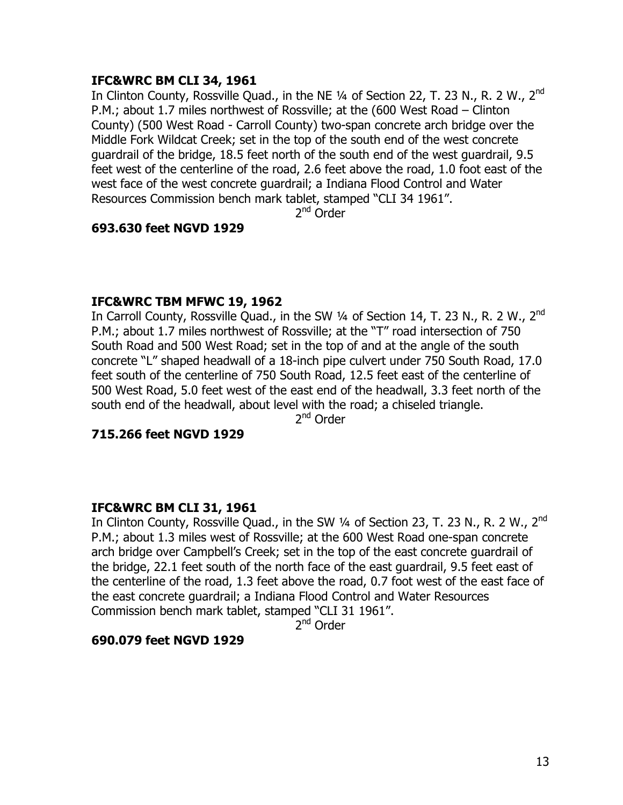## **IFC&WRC BM CLI 34, 1961**

In Clinton County, Rossville Quad., in the NE 1/4 of Section 22, T. 23 N., R. 2 W., 2<sup>nd</sup> P.M.; about 1.7 miles northwest of Rossville; at the (600 West Road – Clinton County) (500 West Road - Carroll County) two-span concrete arch bridge over the Middle Fork Wildcat Creek; set in the top of the south end of the west concrete guardrail of the bridge, 18.5 feet north of the south end of the west guardrail, 9.5 feet west of the centerline of the road, 2.6 feet above the road, 1.0 foot east of the west face of the west concrete guardrail; a Indiana Flood Control and Water Resources Commission bench mark tablet, stamped "CLI 34 1961".

2<sup>nd</sup> Order

## **693.630 feet NGVD 1929**

## **IFC&WRC TBM MFWC 19, 1962**

In Carroll County, Rossville Quad., in the SW 1/4 of Section 14, T. 23 N., R. 2 W., 2<sup>nd</sup> P.M.; about 1.7 miles northwest of Rossville; at the "T" road intersection of 750 South Road and 500 West Road; set in the top of and at the angle of the south concrete "L" shaped headwall of a 18-inch pipe culvert under 750 South Road, 17.0 feet south of the centerline of 750 South Road, 12.5 feet east of the centerline of 500 West Road, 5.0 feet west of the east end of the headwall, 3.3 feet north of the south end of the headwall, about level with the road; a chiseled triangle.

2<sup>nd</sup> Order

## **715.266 feet NGVD 1929**

## **IFC&WRC BM CLI 31, 1961**

In Clinton County, Rossville Quad., in the SW 1/4 of Section 23, T. 23 N., R. 2 W., 2<sup>nd</sup> P.M.; about 1.3 miles west of Rossville; at the 600 West Road one-span concrete arch bridge over Campbell's Creek; set in the top of the east concrete guardrail of the bridge, 22.1 feet south of the north face of the east guardrail, 9.5 feet east of the centerline of the road, 1.3 feet above the road, 0.7 foot west of the east face of the east concrete guardrail; a Indiana Flood Control and Water Resources Commission bench mark tablet, stamped "CLI 31 1961".

2nd Order

## **690.079 feet NGVD 1929**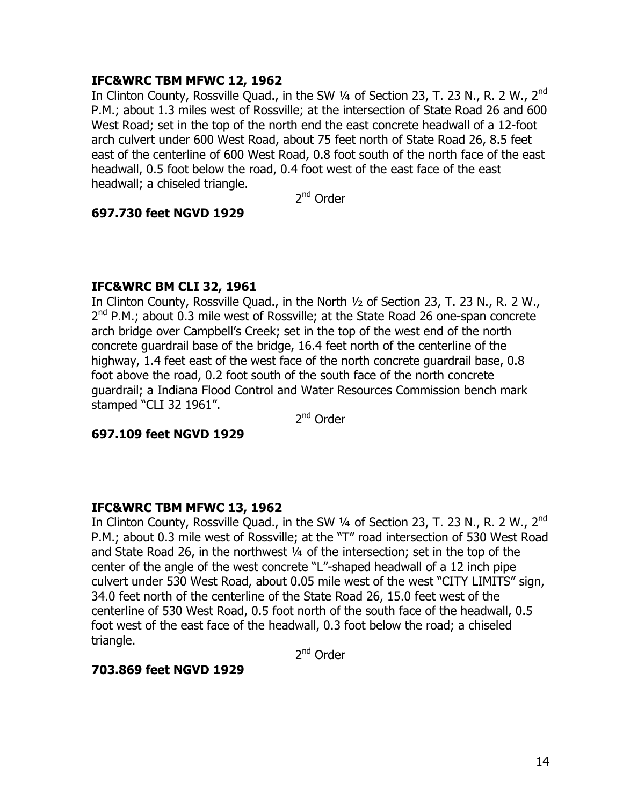## **IFC&WRC TBM MFWC 12, 1962**

In Clinton County, Rossville Quad., in the SW 1/4 of Section 23, T. 23 N., R. 2 W., 2<sup>nd</sup> P.M.; about 1.3 miles west of Rossville; at the intersection of State Road 26 and 600 West Road; set in the top of the north end the east concrete headwall of a 12-foot arch culvert under 600 West Road, about 75 feet north of State Road 26, 8.5 feet east of the centerline of 600 West Road, 0.8 foot south of the north face of the east headwall, 0.5 foot below the road, 0.4 foot west of the east face of the east headwall; a chiseled triangle.

2nd Order

#### **697.730 feet NGVD 1929**

## **IFC&WRC BM CLI 32, 1961**

In Clinton County, Rossville Quad., in the North ½ of Section 23, T. 23 N., R. 2 W.,  $2^{nd}$  P.M.; about 0.3 mile west of Rossville; at the State Road 26 one-span concrete arch bridge over Campbell's Creek; set in the top of the west end of the north concrete guardrail base of the bridge, 16.4 feet north of the centerline of the highway, 1.4 feet east of the west face of the north concrete guardrail base, 0.8 foot above the road, 0.2 foot south of the south face of the north concrete guardrail; a Indiana Flood Control and Water Resources Commission bench mark stamped "CLI 32 1961".

2<sup>nd</sup> Order

#### **697.109 feet NGVD 1929**

#### **IFC&WRC TBM MFWC 13, 1962**

In Clinton County, Rossville Quad., in the SW  $\frac{1}{4}$  of Section 23, T. 23 N., R. 2 W., 2<sup>nd</sup> P.M.; about 0.3 mile west of Rossville; at the "T" road intersection of 530 West Road and State Road 26, in the northwest ¼ of the intersection; set in the top of the center of the angle of the west concrete "L"-shaped headwall of a 12 inch pipe culvert under 530 West Road, about 0.05 mile west of the west "CITY LIMITS" sign, 34.0 feet north of the centerline of the State Road 26, 15.0 feet west of the centerline of 530 West Road, 0.5 foot north of the south face of the headwall, 0.5 foot west of the east face of the headwall, 0.3 foot below the road; a chiseled triangle.

2<sup>nd</sup> Order

#### **703.869 feet NGVD 1929**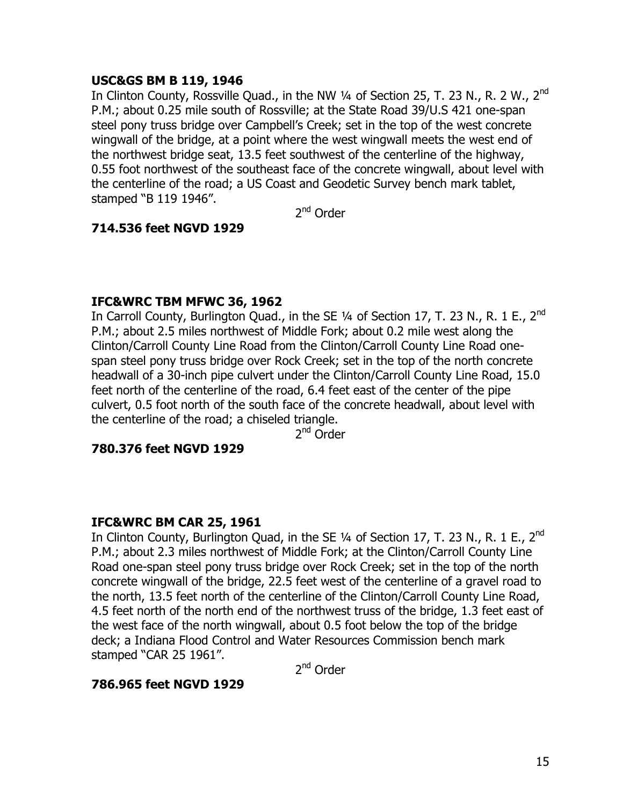## **USC&GS BM B 119, 1946**

In Clinton County, Rossville Quad., in the NW 1/4 of Section 25, T. 23 N., R. 2 W., 2<sup>nd</sup> P.M.; about 0.25 mile south of Rossville; at the State Road 39/U.S 421 one-span steel pony truss bridge over Campbell's Creek; set in the top of the west concrete wingwall of the bridge, at a point where the west wingwall meets the west end of the northwest bridge seat, 13.5 feet southwest of the centerline of the highway, 0.55 foot northwest of the southeast face of the concrete wingwall, about level with the centerline of the road; a US Coast and Geodetic Survey bench mark tablet, stamped "B 119 1946".

2<sup>nd</sup> Order

## **714.536 feet NGVD 1929**

## **IFC&WRC TBM MFWC 36, 1962**

In Carroll County, Burlington Quad., in the SE  $1/4$  of Section 17, T. 23 N., R. 1 E., 2<sup>nd</sup> P.M.; about 2.5 miles northwest of Middle Fork; about 0.2 mile west along the Clinton/Carroll County Line Road from the Clinton/Carroll County Line Road onespan steel pony truss bridge over Rock Creek; set in the top of the north concrete headwall of a 30-inch pipe culvert under the Clinton/Carroll County Line Road, 15.0 feet north of the centerline of the road, 6.4 feet east of the center of the pipe culvert, 0.5 foot north of the south face of the concrete headwall, about level with the centerline of the road; a chiseled triangle.

2nd Order

## **780.376 feet NGVD 1929**

#### **IFC&WRC BM CAR 25, 1961**

In Clinton County, Burlington Quad, in the SE 1/4 of Section 17, T. 23 N., R. 1 E., 2<sup>nd</sup> P.M.; about 2.3 miles northwest of Middle Fork; at the Clinton/Carroll County Line Road one-span steel pony truss bridge over Rock Creek; set in the top of the north concrete wingwall of the bridge, 22.5 feet west of the centerline of a gravel road to the north, 13.5 feet north of the centerline of the Clinton/Carroll County Line Road, 4.5 feet north of the north end of the northwest truss of the bridge, 1.3 feet east of the west face of the north wingwall, about 0.5 foot below the top of the bridge deck; a Indiana Flood Control and Water Resources Commission bench mark stamped "CAR 25 1961".

2nd Order

## **786.965 feet NGVD 1929**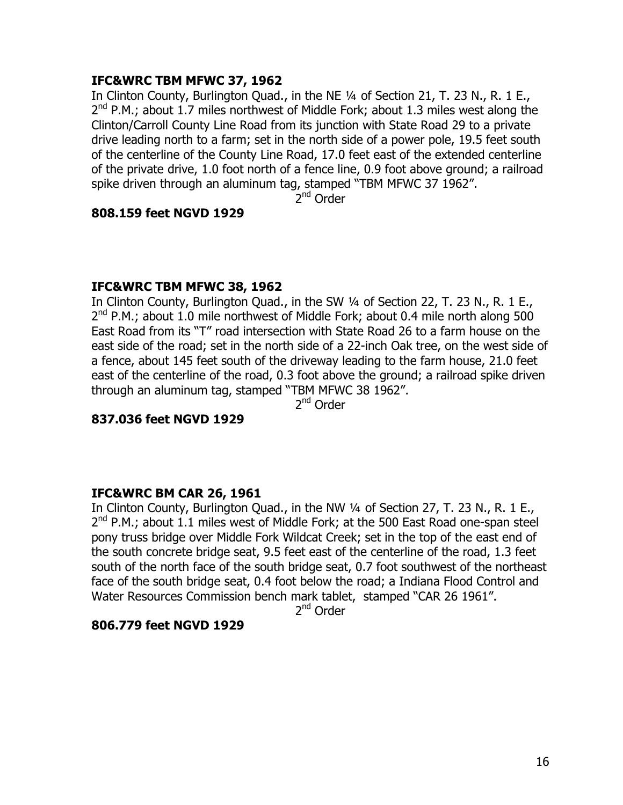## **IFC&WRC TBM MFWC 37, 1962**

In Clinton County, Burlington Quad., in the NE ¼ of Section 21, T. 23 N., R. 1 E.,  $2^{nd}$  P.M.; about 1.7 miles northwest of Middle Fork; about 1.3 miles west along the Clinton/Carroll County Line Road from its junction with State Road 29 to a private drive leading north to a farm; set in the north side of a power pole, 19.5 feet south of the centerline of the County Line Road, 17.0 feet east of the extended centerline of the private drive, 1.0 foot north of a fence line, 0.9 foot above ground; a railroad spike driven through an aluminum tag, stamped "TBM MFWC 37 1962".

2<sup>nd</sup> Order

#### **808.159 feet NGVD 1929**

#### **IFC&WRC TBM MFWC 38, 1962**

In Clinton County, Burlington Quad., in the SW ¼ of Section 22, T. 23 N., R. 1 E.,  $2^{nd}$  P.M.; about 1.0 mile northwest of Middle Fork; about 0.4 mile north along 500 East Road from its "T" road intersection with State Road 26 to a farm house on the east side of the road; set in the north side of a 22-inch Oak tree, on the west side of a fence, about 145 feet south of the driveway leading to the farm house, 21.0 feet east of the centerline of the road, 0.3 foot above the ground; a railroad spike driven through an aluminum tag, stamped "TBM MFWC 38 1962".

2<sup>nd</sup> Order

**837.036 feet NGVD 1929** 

## **IFC&WRC BM CAR 26, 1961**

In Clinton County, Burlington Quad., in the NW ¼ of Section 27, T. 23 N., R. 1 E.,  $2^{nd}$  P.M.; about 1.1 miles west of Middle Fork; at the 500 East Road one-span steel pony truss bridge over Middle Fork Wildcat Creek; set in the top of the east end of the south concrete bridge seat, 9.5 feet east of the centerline of the road, 1.3 feet south of the north face of the south bridge seat, 0.7 foot southwest of the northeast face of the south bridge seat, 0.4 foot below the road; a Indiana Flood Control and Water Resources Commission bench mark tablet, stamped "CAR 26 1961".

2<sup>nd</sup> Order

#### **806.779 feet NGVD 1929**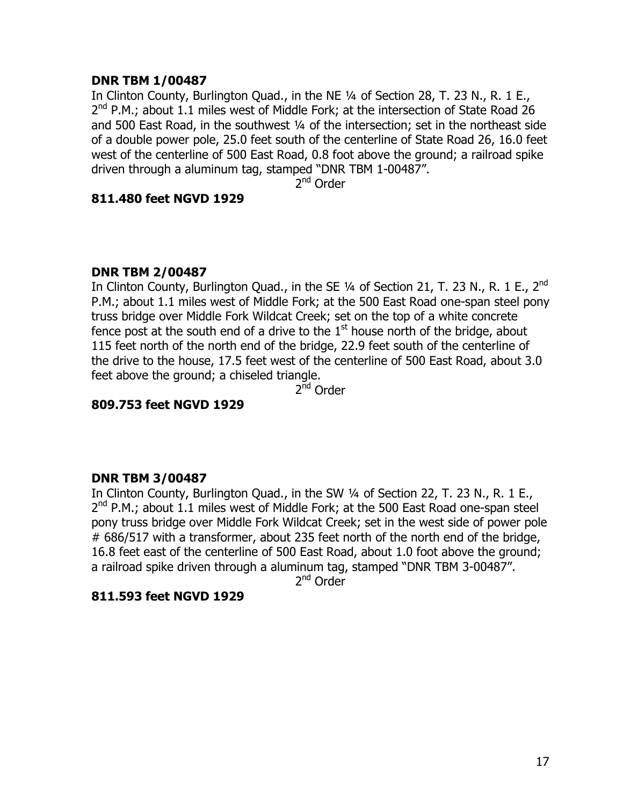## **DNR TBM 1/00487**

In Clinton County, Burlington Ouad., in the NE 1/4 of Section 28, T, 23 N., R, 1 E.,  $2^{nd}$  P.M.; about 1.1 miles west of Middle Fork; at the intersection of State Road 26 and 500 East Road, in the southwest ¼ of the intersection; set in the northeast side of a double power pole, 25.0 feet south of the centerline of State Road 26, 16.0 feet west of the centerline of 500 East Road, 0.8 foot above the ground; a railroad spike driven through a aluminum tag, stamped "DNR TBM 1-00487".

2<sup>nd</sup> Order

## **811.480 feet NGVD 1929**

## **DNR TBM 2/00487**

In Clinton County, Burlington Quad., in the SE  $\frac{1}{4}$  of Section 21, T. 23 N., R. 1 E., 2<sup>nd</sup> P.M.; about 1.1 miles west of Middle Fork; at the 500 East Road one-span steel pony truss bridge over Middle Fork Wildcat Creek; set on the top of a white concrete fence post at the south end of a drive to the  $1<sup>st</sup>$  house north of the bridge, about 115 feet north of the north end of the bridge, 22.9 feet south of the centerline of the drive to the house, 17.5 feet west of the centerline of 500 East Road, about 3.0 feet above the ground; a chiseled triangle.

2<sup>nd</sup> Order

## **809.753 feet NGVD 1929**

## **DNR TBM 3/00487**

In Clinton County, Burlington Quad., in the SW ¼ of Section 22, T. 23 N., R. 1 E.,  $2^{nd}$  P.M.; about 1.1 miles west of Middle Fork; at the 500 East Road one-span steel pony truss bridge over Middle Fork Wildcat Creek; set in the west side of power pole # 686/517 with a transformer, about 235 feet north of the north end of the bridge, 16.8 feet east of the centerline of 500 East Road, about 1.0 foot above the ground; a railroad spike driven through a aluminum tag, stamped "DNR TBM 3-00487".

2<sup>nd</sup> Order

#### **811.593 feet NGVD 1929**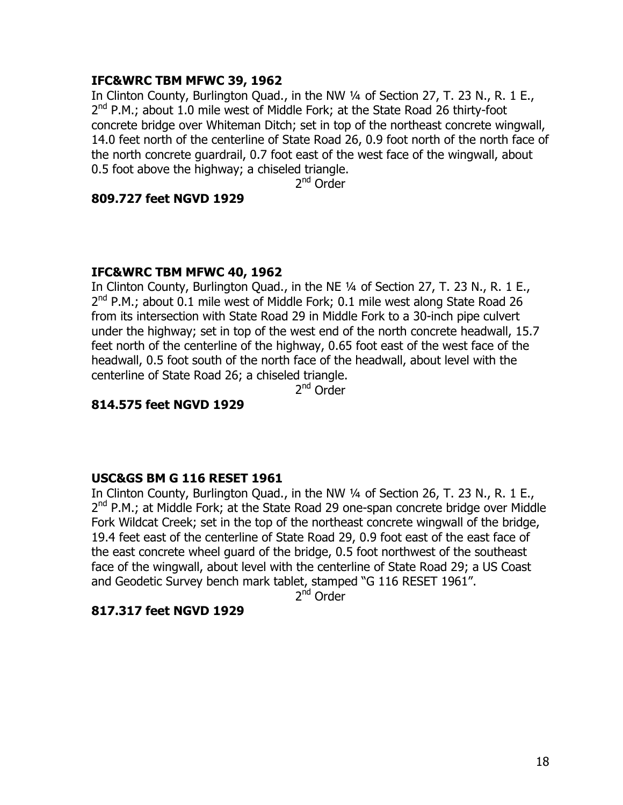## **IFC&WRC TBM MFWC 39, 1962**

In Clinton County, Burlington Quad., in the NW ¼ of Section 27, T. 23 N., R. 1 E., 2<sup>nd</sup> P.M.; about 1.0 mile west of Middle Fork; at the State Road 26 thirty-foot concrete bridge over Whiteman Ditch; set in top of the northeast concrete wingwall, 14.0 feet north of the centerline of State Road 26, 0.9 foot north of the north face of the north concrete guardrail, 0.7 foot east of the west face of the wingwall, about 0.5 foot above the highway; a chiseled triangle.

2<sup>nd</sup> Order

## **809.727 feet NGVD 1929**

## **IFC&WRC TBM MFWC 40, 1962**

In Clinton County, Burlington Quad., in the NE ¼ of Section 27, T. 23 N., R. 1 E.,  $2^{nd}$  P.M.; about 0.1 mile west of Middle Fork; 0.1 mile west along State Road 26 from its intersection with State Road 29 in Middle Fork to a 30-inch pipe culvert under the highway; set in top of the west end of the north concrete headwall, 15.7 feet north of the centerline of the highway, 0.65 foot east of the west face of the headwall, 0.5 foot south of the north face of the headwall, about level with the centerline of State Road 26; a chiseled triangle.

2nd Order

## **814.575 feet NGVD 1929**

## **USC&GS BM G 116 RESET 1961**

In Clinton County, Burlington Quad., in the NW ¼ of Section 26, T. 23 N., R. 1 E., 2<sup>nd</sup> P.M.; at Middle Fork; at the State Road 29 one-span concrete bridge over Middle Fork Wildcat Creek; set in the top of the northeast concrete wingwall of the bridge, 19.4 feet east of the centerline of State Road 29, 0.9 foot east of the east face of the east concrete wheel guard of the bridge, 0.5 foot northwest of the southeast face of the wingwall, about level with the centerline of State Road 29; a US Coast and Geodetic Survey bench mark tablet, stamped "G 116 RESET 1961".

2<sup>nd</sup> Order

## **817.317 feet NGVD 1929**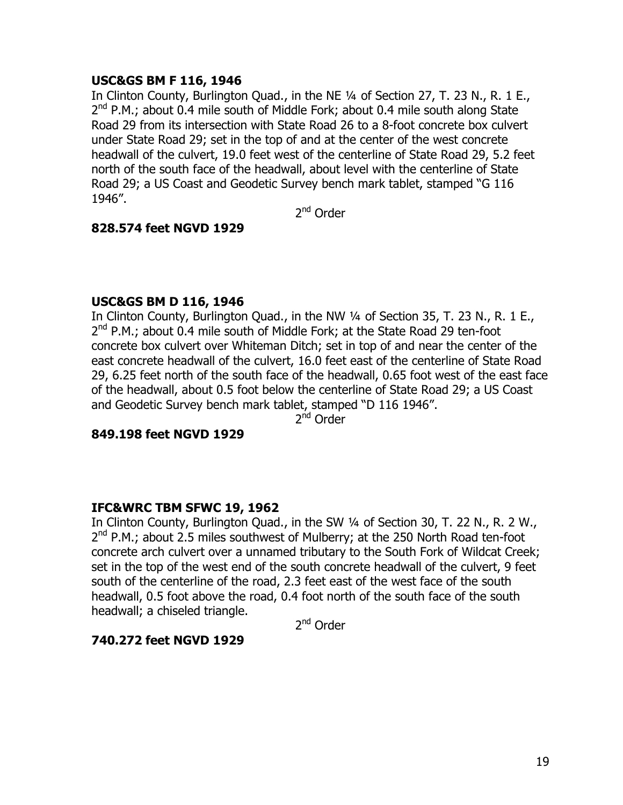## **USC&GS BM F 116, 1946**

In Clinton County, Burlington Quad., in the NE ¼ of Section 27, T. 23 N., R. 1 E.,  $2^{nd}$  P.M.; about 0.4 mile south of Middle Fork; about 0.4 mile south along State Road 29 from its intersection with State Road 26 to a 8-foot concrete box culvert under State Road 29; set in the top of and at the center of the west concrete headwall of the culvert, 19.0 feet west of the centerline of State Road 29, 5.2 feet north of the south face of the headwall, about level with the centerline of State Road 29; a US Coast and Geodetic Survey bench mark tablet, stamped "G 116 1946".

2<sup>nd</sup> Order

## **828.574 feet NGVD 1929**

## **USC&GS BM D 116, 1946**

In Clinton County, Burlington Quad., in the NW 1/4 of Section 35, T. 23 N., R. 1 E.,  $2<sup>nd</sup>$  P.M.; about 0.4 mile south of Middle Fork; at the State Road 29 ten-foot concrete box culvert over Whiteman Ditch; set in top of and near the center of the east concrete headwall of the culvert, 16.0 feet east of the centerline of State Road 29, 6.25 feet north of the south face of the headwall, 0.65 foot west of the east face of the headwall, about 0.5 foot below the centerline of State Road 29; a US Coast and Geodetic Survey bench mark tablet, stamped "D 116 1946".

2<sup>nd</sup> Order

#### **849.198 feet NGVD 1929**

## **IFC&WRC TBM SFWC 19, 1962**

In Clinton County, Burlington Quad., in the SW ¼ of Section 30, T. 22 N., R. 2 W.,  $2<sup>nd</sup>$  P.M.; about 2.5 miles southwest of Mulberry; at the 250 North Road ten-foot concrete arch culvert over a unnamed tributary to the South Fork of Wildcat Creek; set in the top of the west end of the south concrete headwall of the culvert, 9 feet south of the centerline of the road, 2.3 feet east of the west face of the south headwall, 0.5 foot above the road, 0.4 foot north of the south face of the south headwall; a chiseled triangle.

2nd Order

## **740.272 feet NGVD 1929**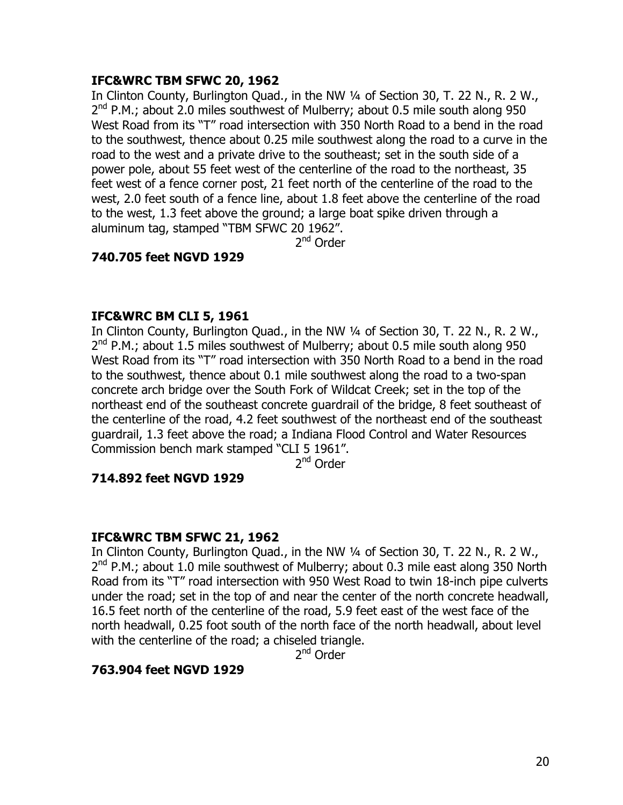## **IFC&WRC TBM SFWC 20, 1962**

In Clinton County, Burlington Quad., in the NW ¼ of Section 30, T. 22 N., R. 2 W.,  $2<sup>nd</sup>$  P.M.; about 2.0 miles southwest of Mulberry; about 0.5 mile south along 950 West Road from its "T" road intersection with 350 North Road to a bend in the road to the southwest, thence about 0.25 mile southwest along the road to a curve in the road to the west and a private drive to the southeast; set in the south side of a power pole, about 55 feet west of the centerline of the road to the northeast, 35 feet west of a fence corner post, 21 feet north of the centerline of the road to the west, 2.0 feet south of a fence line, about 1.8 feet above the centerline of the road to the west, 1.3 feet above the ground; a large boat spike driven through a aluminum tag, stamped "TBM SFWC 20 1962".

2<sup>nd</sup> Order

## **740.705 feet NGVD 1929**

## **IFC&WRC BM CLI 5, 1961**

In Clinton County, Burlington Quad., in the NW ¼ of Section 30, T. 22 N., R. 2 W.,  $2^{nd}$  P.M.; about 1.5 miles southwest of Mulberry; about 0.5 mile south along 950 West Road from its "T" road intersection with 350 North Road to a bend in the road to the southwest, thence about 0.1 mile southwest along the road to a two-span concrete arch bridge over the South Fork of Wildcat Creek; set in the top of the northeast end of the southeast concrete guardrail of the bridge, 8 feet southeast of the centerline of the road, 4.2 feet southwest of the northeast end of the southeast guardrail, 1.3 feet above the road; a Indiana Flood Control and Water Resources Commission bench mark stamped "CLI 5 1961".

2<sup>nd</sup> Order

#### **714.892 feet NGVD 1929**

## **IFC&WRC TBM SFWC 21, 1962**

In Clinton County, Burlington Quad., in the NW 1/4 of Section 30, T. 22 N., R. 2 W.,  $2<sup>nd</sup>$  P.M.; about 1.0 mile southwest of Mulberry; about 0.3 mile east along 350 North Road from its "T" road intersection with 950 West Road to twin 18-inch pipe culverts under the road; set in the top of and near the center of the north concrete headwall, 16.5 feet north of the centerline of the road, 5.9 feet east of the west face of the north headwall, 0.25 foot south of the north face of the north headwall, about level with the centerline of the road; a chiseled triangle.

2<sup>nd</sup> Order

## **763.904 feet NGVD 1929**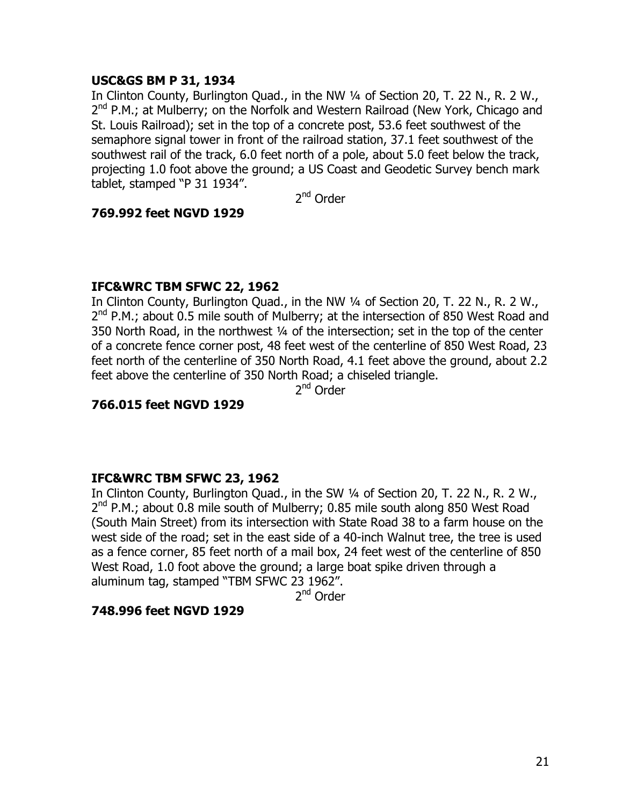## **USC&GS BM P 31, 1934**

In Clinton County, Burlington Quad., in the NW 1/4 of Section 20, T. 22 N., R. 2 W.,  $2^{nd}$  P.M.; at Mulberry; on the Norfolk and Western Railroad (New York, Chicago and St. Louis Railroad); set in the top of a concrete post, 53.6 feet southwest of the semaphore signal tower in front of the railroad station, 37.1 feet southwest of the southwest rail of the track, 6.0 feet north of a pole, about 5.0 feet below the track, projecting 1.0 foot above the ground; a US Coast and Geodetic Survey bench mark tablet, stamped "P 31 1934".

2nd Order

#### **769.992 feet NGVD 1929**

## **IFC&WRC TBM SFWC 22, 1962**

In Clinton County, Burlington Quad., in the NW 1/4 of Section 20, T. 22 N., R. 2 W.,  $2^{nd}$  P.M.; about 0.5 mile south of Mulberry; at the intersection of 850 West Road and 350 North Road, in the northwest ¼ of the intersection; set in the top of the center of a concrete fence corner post, 48 feet west of the centerline of 850 West Road, 23 feet north of the centerline of 350 North Road, 4.1 feet above the ground, about 2.2 feet above the centerline of 350 North Road; a chiseled triangle.

2nd Order

## **766.015 feet NGVD 1929**

#### **IFC&WRC TBM SFWC 23, 1962**

In Clinton County, Burlington Quad., in the SW 1/4 of Section 20, T. 22 N., R. 2 W., 2<sup>nd</sup> P.M.; about 0.8 mile south of Mulberry; 0.85 mile south along 850 West Road (South Main Street) from its intersection with State Road 38 to a farm house on the west side of the road; set in the east side of a 40-inch Walnut tree, the tree is used as a fence corner, 85 feet north of a mail box, 24 feet west of the centerline of 850 West Road, 1.0 foot above the ground; a large boat spike driven through a aluminum tag, stamped "TBM SFWC 23 1962".

2<sup>nd</sup> Order

## **748.996 feet NGVD 1929**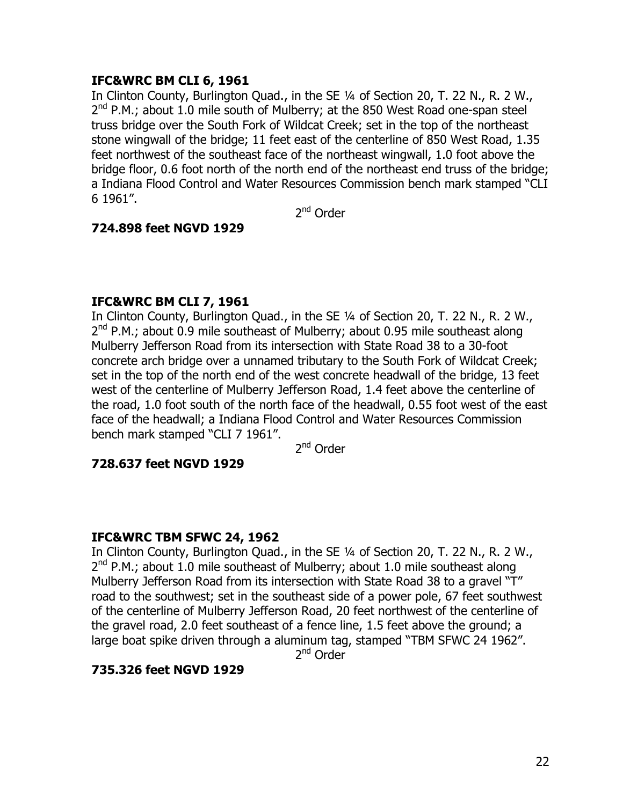## **IFC&WRC BM CLI 6, 1961**

In Clinton County, Burlington Quad., in the SE ¼ of Section 20, T. 22 N., R. 2 W., 2<sup>nd</sup> P.M.; about 1.0 mile south of Mulberry; at the 850 West Road one-span steel truss bridge over the South Fork of Wildcat Creek; set in the top of the northeast stone wingwall of the bridge; 11 feet east of the centerline of 850 West Road, 1.35 feet northwest of the southeast face of the northeast wingwall, 1.0 foot above the bridge floor, 0.6 foot north of the north end of the northeast end truss of the bridge; a Indiana Flood Control and Water Resources Commission bench mark stamped "CLI 6 1961".

2<sup>nd</sup> Order

## **724.898 feet NGVD 1929**

#### **IFC&WRC BM CLI 7, 1961**

In Clinton County, Burlington Quad., in the SE ¼ of Section 20, T. 22 N., R. 2 W.,  $2<sup>nd</sup>$  P.M.; about 0.9 mile southeast of Mulberry; about 0.95 mile southeast along Mulberry Jefferson Road from its intersection with State Road 38 to a 30-foot concrete arch bridge over a unnamed tributary to the South Fork of Wildcat Creek; set in the top of the north end of the west concrete headwall of the bridge, 13 feet west of the centerline of Mulberry Jefferson Road, 1.4 feet above the centerline of the road, 1.0 foot south of the north face of the headwall, 0.55 foot west of the east face of the headwall; a Indiana Flood Control and Water Resources Commission bench mark stamped "CLI 7 1961".

2<sup>nd</sup> Order

#### **728.637 feet NGVD 1929**

#### **IFC&WRC TBM SFWC 24, 1962**

In Clinton County, Burlington Quad., in the SE ¼ of Section 20, T. 22 N., R. 2 W.,  $2^{nd}$  P.M.; about 1.0 mile southeast of Mulberry; about 1.0 mile southeast along Mulberry Jefferson Road from its intersection with State Road 38 to a gravel "T" road to the southwest; set in the southeast side of a power pole, 67 feet southwest of the centerline of Mulberry Jefferson Road, 20 feet northwest of the centerline of the gravel road, 2.0 feet southeast of a fence line, 1.5 feet above the ground; a large boat spike driven through a aluminum tag, stamped "TBM SFWC 24 1962".

2<sup>nd</sup> Order

#### **735.326 feet NGVD 1929**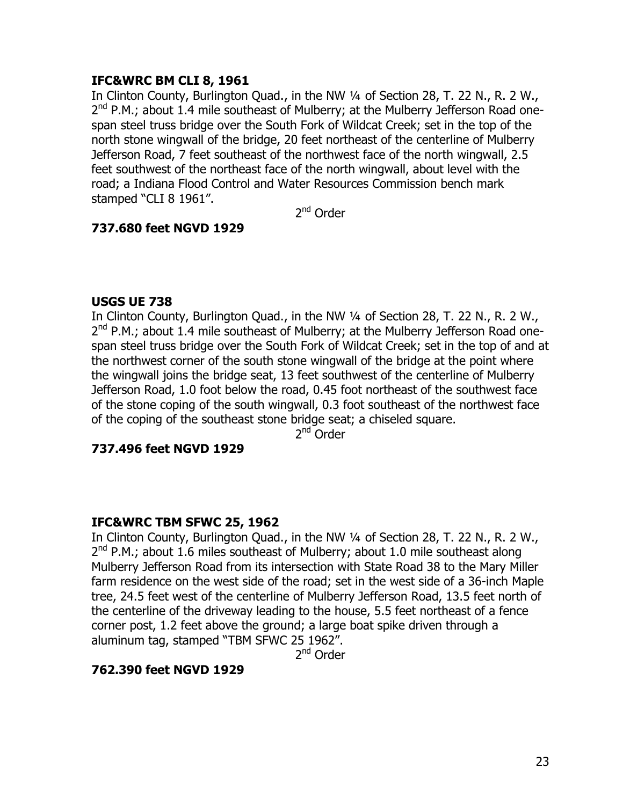## **IFC&WRC BM CLI 8, 1961**

In Clinton County, Burlington Quad., in the NW 1/4 of Section 28, T. 22 N., R. 2 W.,  $2^{nd}$  P.M.; about 1.4 mile southeast of Mulberry; at the Mulberry Jefferson Road onespan steel truss bridge over the South Fork of Wildcat Creek; set in the top of the north stone wingwall of the bridge, 20 feet northeast of the centerline of Mulberry Jefferson Road, 7 feet southeast of the northwest face of the north wingwall, 2.5 feet southwest of the northeast face of the north wingwall, about level with the road; a Indiana Flood Control and Water Resources Commission bench mark stamped "CLI 8 1961".

2<sup>nd</sup> Order

## **737.680 feet NGVD 1929**

#### **USGS UE 738**

In Clinton County, Burlington Quad., in the NW 1/4 of Section 28, T. 22 N., R. 2 W.,  $2^{nd}$  P.M.; about 1.4 mile southeast of Mulberry; at the Mulberry Jefferson Road onespan steel truss bridge over the South Fork of Wildcat Creek; set in the top of and at the northwest corner of the south stone wingwall of the bridge at the point where the wingwall joins the bridge seat, 13 feet southwest of the centerline of Mulberry Jefferson Road, 1.0 foot below the road, 0.45 foot northeast of the southwest face of the stone coping of the south wingwall, 0.3 foot southeast of the northwest face of the coping of the southeast stone bridge seat; a chiseled square.

2nd Order

## **737.496 feet NGVD 1929**

#### **IFC&WRC TBM SFWC 25, 1962**

In Clinton County, Burlington Quad., in the NW ¼ of Section 28, T. 22 N., R. 2 W.,  $2^{nd}$  P.M.; about 1.6 miles southeast of Mulberry; about 1.0 mile southeast along Mulberry Jefferson Road from its intersection with State Road 38 to the Mary Miller farm residence on the west side of the road; set in the west side of a 36-inch Maple tree, 24.5 feet west of the centerline of Mulberry Jefferson Road, 13.5 feet north of the centerline of the driveway leading to the house, 5.5 feet northeast of a fence corner post, 1.2 feet above the ground; a large boat spike driven through a aluminum tag, stamped "TBM SFWC 25 1962".

2<sup>nd</sup> Order

## **762.390 feet NGVD 1929**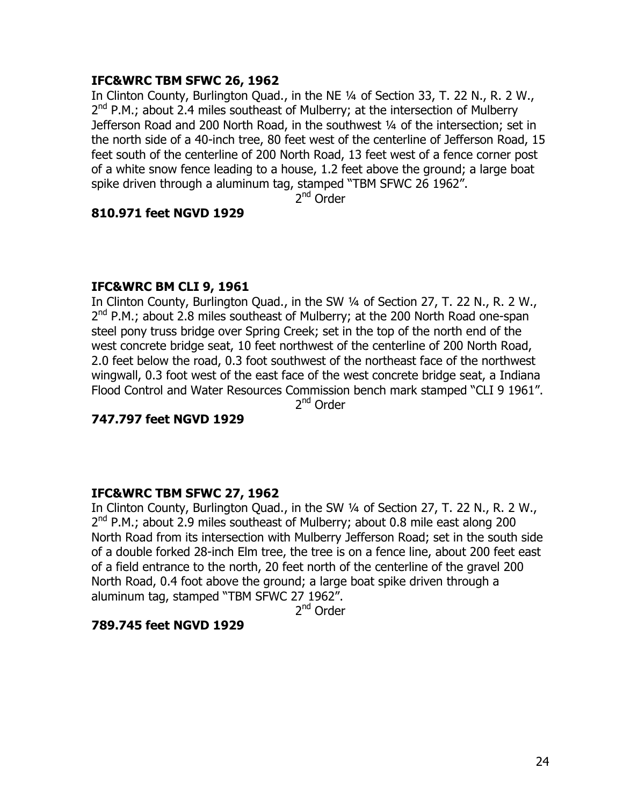#### **IFC&WRC TBM SFWC 26, 1962**

In Clinton County, Burlington Quad., in the NE ¼ of Section 33, T. 22 N., R. 2 W.,  $2^{nd}$  P.M.; about 2.4 miles southeast of Mulberry; at the intersection of Mulberry Jefferson Road and 200 North Road, in the southwest 1/4 of the intersection; set in the north side of a 40-inch tree, 80 feet west of the centerline of Jefferson Road, 15 feet south of the centerline of 200 North Road, 13 feet west of a fence corner post of a white snow fence leading to a house, 1.2 feet above the ground; a large boat spike driven through a aluminum tag, stamped "TBM SFWC 26 1962".

2<sup>nd</sup> Order

#### **810.971 feet NGVD 1929**

#### **IFC&WRC BM CLI 9, 1961**

In Clinton County, Burlington Quad., in the SW ¼ of Section 27, T. 22 N., R. 2 W.,  $2^{nd}$  P.M.; about 2.8 miles southeast of Mulberry; at the 200 North Road one-span steel pony truss bridge over Spring Creek; set in the top of the north end of the west concrete bridge seat, 10 feet northwest of the centerline of 200 North Road, 2.0 feet below the road, 0.3 foot southwest of the northeast face of the northwest wingwall, 0.3 foot west of the east face of the west concrete bridge seat, a Indiana Flood Control and Water Resources Commission bench mark stamped "CLI 9 1961". 2<sup>nd</sup> Order

**747.797 feet NGVD 1929** 

#### **IFC&WRC TBM SFWC 27, 1962**

In Clinton County, Burlington Quad., in the SW ¼ of Section 27, T. 22 N., R. 2 W.,  $2<sup>nd</sup>$  P.M.; about 2.9 miles southeast of Mulberry; about 0.8 mile east along 200 North Road from its intersection with Mulberry Jefferson Road; set in the south side of a double forked 28-inch Elm tree, the tree is on a fence line, about 200 feet east of a field entrance to the north, 20 feet north of the centerline of the gravel 200 North Road, 0.4 foot above the ground; a large boat spike driven through a aluminum tag, stamped "TBM SFWC 27 1962".

2<sup>nd</sup> Order

#### **789.745 feet NGVD 1929**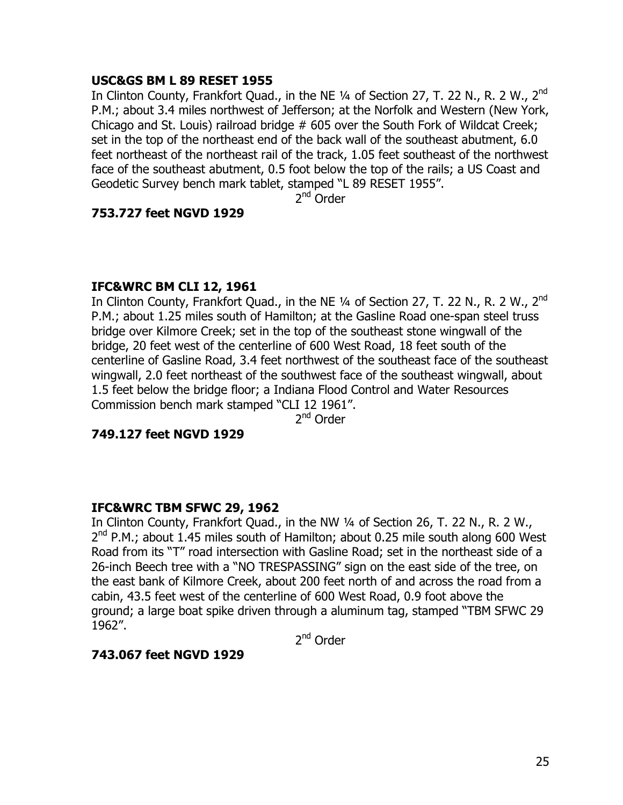## **USC&GS BM L 89 RESET 1955**

In Clinton County, Frankfort Quad., in the NE 1/4 of Section 27, T. 22 N., R. 2 W., 2<sup>nd</sup> P.M.; about 3.4 miles northwest of Jefferson; at the Norfolk and Western (New York, Chicago and St. Louis) railroad bridge # 605 over the South Fork of Wildcat Creek; set in the top of the northeast end of the back wall of the southeast abutment, 6.0 feet northeast of the northeast rail of the track, 1.05 feet southeast of the northwest face of the southeast abutment, 0.5 foot below the top of the rails; a US Coast and Geodetic Survey bench mark tablet, stamped "L 89 RESET 1955".

2nd Order

#### **753.727 feet NGVD 1929**

## **IFC&WRC BM CLI 12, 1961**

In Clinton County, Frankfort Quad., in the NE  $\frac{1}{4}$  of Section 27, T. 22 N., R. 2 W., 2<sup>nd</sup> P.M.; about 1.25 miles south of Hamilton; at the Gasline Road one-span steel truss bridge over Kilmore Creek; set in the top of the southeast stone wingwall of the bridge, 20 feet west of the centerline of 600 West Road, 18 feet south of the centerline of Gasline Road, 3.4 feet northwest of the southeast face of the southeast wingwall, 2.0 feet northeast of the southwest face of the southeast wingwall, about 1.5 feet below the bridge floor; a Indiana Flood Control and Water Resources Commission bench mark stamped "CLI 12 1961".

2<sup>nd</sup> Order

#### **749.127 feet NGVD 1929**

## **IFC&WRC TBM SFWC 29, 1962**

In Clinton County, Frankfort Quad., in the NW ¼ of Section 26, T. 22 N., R. 2 W.,  $2^{nd}$  P.M.; about 1.45 miles south of Hamilton; about 0.25 mile south along 600 West Road from its "T" road intersection with Gasline Road; set in the northeast side of a 26-inch Beech tree with a "NO TRESPASSING" sign on the east side of the tree, on the east bank of Kilmore Creek, about 200 feet north of and across the road from a cabin, 43.5 feet west of the centerline of 600 West Road, 0.9 foot above the ground; a large boat spike driven through a aluminum tag, stamped "TBM SFWC 29 1962".

2<sup>nd</sup> Order

#### **743.067 feet NGVD 1929**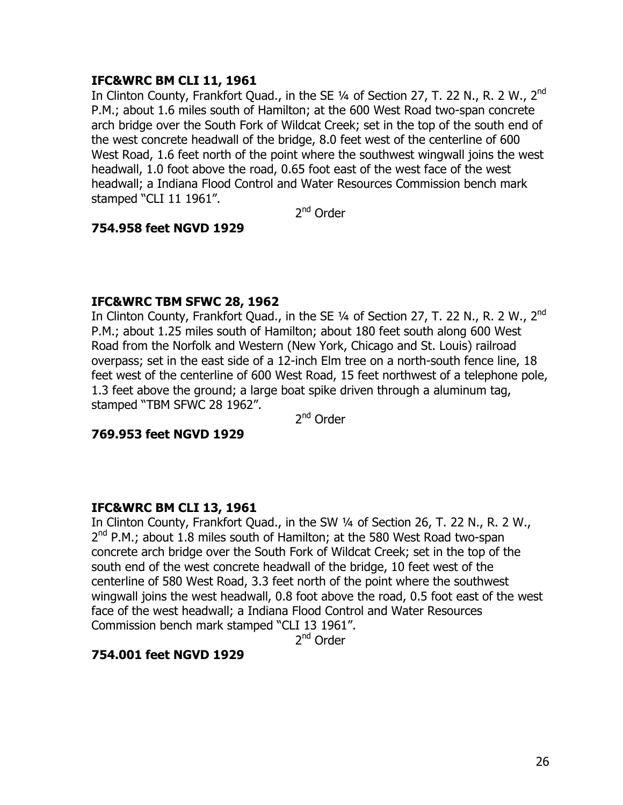## **IFC&WRC BM CLI 11, 1961**

In Clinton County, Frankfort Ouad., in the SE 1/4 of Section 27, T. 22 N., R. 2 W., 2<sup>nd</sup> P.M.; about 1.6 miles south of Hamilton; at the 600 West Road two-span concrete arch bridge over the South Fork of Wildcat Creek; set in the top of the south end of the west concrete headwall of the bridge, 8.0 feet west of the centerline of 600 West Road, 1.6 feet north of the point where the southwest wingwall joins the west headwall, 1.0 foot above the road, 0.65 foot east of the west face of the west headwall; a Indiana Flood Control and Water Resources Commission bench mark stamped "CLI 11 1961".

2<sup>nd</sup> Order

## **754.958 feet NGVD 1929**

## **IFC&WRC TBM SFWC 28, 1962**

In Clinton County, Frankfort Quad., in the SE 1/4 of Section 27, T. 22 N., R. 2 W., 2<sup>nd</sup> P.M.; about 1.25 miles south of Hamilton; about 180 feet south along 600 West Road from the Norfolk and Western (New York, Chicago and St. Louis) railroad overpass; set in the east side of a 12-inch Elm tree on a north-south fence line, 18 feet west of the centerline of 600 West Road, 15 feet northwest of a telephone pole, 1.3 feet above the ground; a large boat spike driven through a aluminum tag, stamped "TBM SFWC 28 1962".

2<sup>nd</sup> Order

#### **769.953 feet NGVD 1929**

## **IFC&WRC BM CLI 13, 1961**

In Clinton County, Frankfort Quad., in the SW ¼ of Section 26, T. 22 N., R. 2 W.,  $2^{nd}$  P.M.; about 1.8 miles south of Hamilton; at the 580 West Road two-span concrete arch bridge over the South Fork of Wildcat Creek; set in the top of the south end of the west concrete headwall of the bridge, 10 feet west of the centerline of 580 West Road, 3.3 feet north of the point where the southwest wingwall joins the west headwall, 0.8 foot above the road, 0.5 foot east of the west face of the west headwall; a Indiana Flood Control and Water Resources Commission bench mark stamped "CLI 13 1961".

2<sup>nd</sup> Order

#### **754.001 feet NGVD 1929**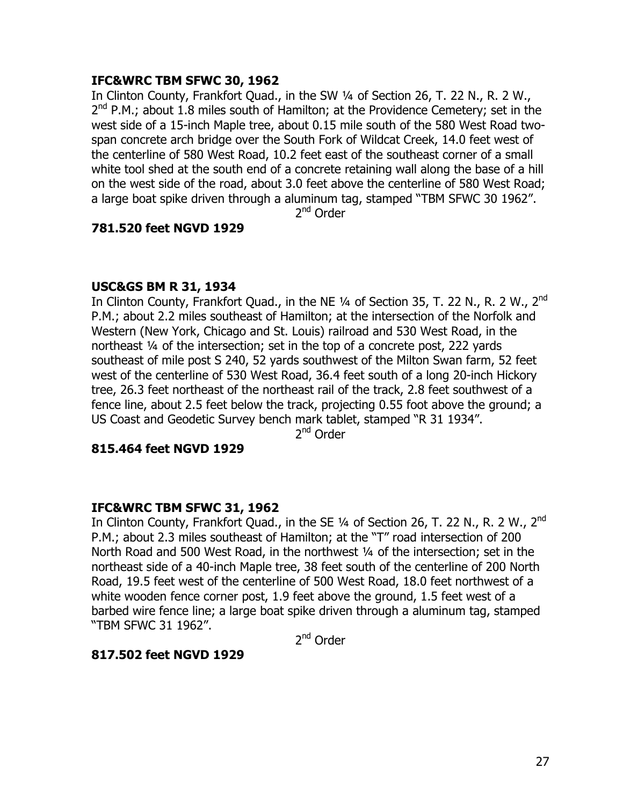## **IFC&WRC TBM SFWC 30, 1962**

In Clinton County, Frankfort Quad., in the SW ¼ of Section 26, T. 22 N., R. 2 W.,  $2^{nd}$  P.M.; about 1.8 miles south of Hamilton; at the Providence Cemetery; set in the west side of a 15-inch Maple tree, about 0.15 mile south of the 580 West Road twospan concrete arch bridge over the South Fork of Wildcat Creek, 14.0 feet west of the centerline of 580 West Road, 10.2 feet east of the southeast corner of a small white tool shed at the south end of a concrete retaining wall along the base of a hill on the west side of the road, about 3.0 feet above the centerline of 580 West Road; a large boat spike driven through a aluminum tag, stamped "TBM SFWC 30 1962".

2<sup>nd</sup> Order

## **781.520 feet NGVD 1929**

#### **USC&GS BM R 31, 1934**

In Clinton County, Frankfort Quad., in the NE  $\frac{1}{4}$  of Section 35, T. 22 N., R. 2 W., 2<sup>nd</sup> P.M.; about 2.2 miles southeast of Hamilton; at the intersection of the Norfolk and Western (New York, Chicago and St. Louis) railroad and 530 West Road, in the northeast ¼ of the intersection; set in the top of a concrete post, 222 yards southeast of mile post S 240, 52 yards southwest of the Milton Swan farm, 52 feet west of the centerline of 530 West Road, 36.4 feet south of a long 20-inch Hickory tree, 26.3 feet northeast of the northeast rail of the track, 2.8 feet southwest of a fence line, about 2.5 feet below the track, projecting 0.55 foot above the ground; a US Coast and Geodetic Survey bench mark tablet, stamped "R 31 1934".

2<sup>nd</sup> Order

#### **815.464 feet NGVD 1929**

#### **IFC&WRC TBM SFWC 31, 1962**

In Clinton County, Frankfort Quad., in the SE  $\frac{1}{4}$  of Section 26, T. 22 N., R. 2 W., 2<sup>nd</sup> P.M.; about 2.3 miles southeast of Hamilton; at the "T" road intersection of 200 North Road and 500 West Road, in the northwest 1/4 of the intersection; set in the northeast side of a 40-inch Maple tree, 38 feet south of the centerline of 200 North Road, 19.5 feet west of the centerline of 500 West Road, 18.0 feet northwest of a white wooden fence corner post, 1.9 feet above the ground, 1.5 feet west of a barbed wire fence line; a large boat spike driven through a aluminum tag, stamped "TBM SFWC 31 1962".

2<sup>nd</sup> Order

#### **817.502 feet NGVD 1929**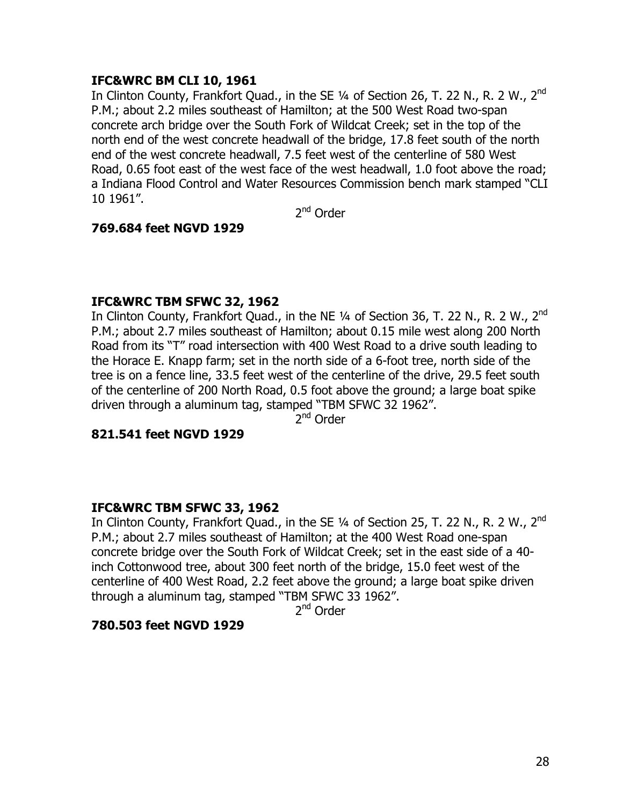## **IFC&WRC BM CLI 10, 1961**

In Clinton County, Frankfort Quad., in the SE  $\frac{1}{4}$  of Section 26, T. 22 N., R. 2 W., 2<sup>nd</sup> P.M.; about 2.2 miles southeast of Hamilton; at the 500 West Road two-span concrete arch bridge over the South Fork of Wildcat Creek; set in the top of the north end of the west concrete headwall of the bridge, 17.8 feet south of the north end of the west concrete headwall, 7.5 feet west of the centerline of 580 West Road, 0.65 foot east of the west face of the west headwall, 1.0 foot above the road; a Indiana Flood Control and Water Resources Commission bench mark stamped "CLI 10 1961".

2<sup>nd</sup> Order

## **769.684 feet NGVD 1929**

#### **IFC&WRC TBM SFWC 32, 1962**

In Clinton County, Frankfort Quad., in the NE  $\frac{1}{4}$  of Section 36, T. 22 N., R. 2 W., 2<sup>nd</sup> P.M.; about 2.7 miles southeast of Hamilton; about 0.15 mile west along 200 North Road from its "T" road intersection with 400 West Road to a drive south leading to the Horace E. Knapp farm; set in the north side of a 6-foot tree, north side of the tree is on a fence line, 33.5 feet west of the centerline of the drive, 29.5 feet south of the centerline of 200 North Road, 0.5 foot above the ground; a large boat spike driven through a aluminum tag, stamped "TBM SFWC 32 1962".

2<sup>nd</sup> Order

#### **821.541 feet NGVD 1929**

#### **IFC&WRC TBM SFWC 33, 1962**

In Clinton County, Frankfort Quad., in the SE  $\frac{1}{4}$  of Section 25, T. 22 N., R. 2 W., 2<sup>nd</sup> P.M.; about 2.7 miles southeast of Hamilton; at the 400 West Road one-span concrete bridge over the South Fork of Wildcat Creek; set in the east side of a 40 inch Cottonwood tree, about 300 feet north of the bridge, 15.0 feet west of the centerline of 400 West Road, 2.2 feet above the ground; a large boat spike driven through a aluminum tag, stamped "TBM SFWC 33 1962".

2<sup>nd</sup> Order

#### **780.503 feet NGVD 1929**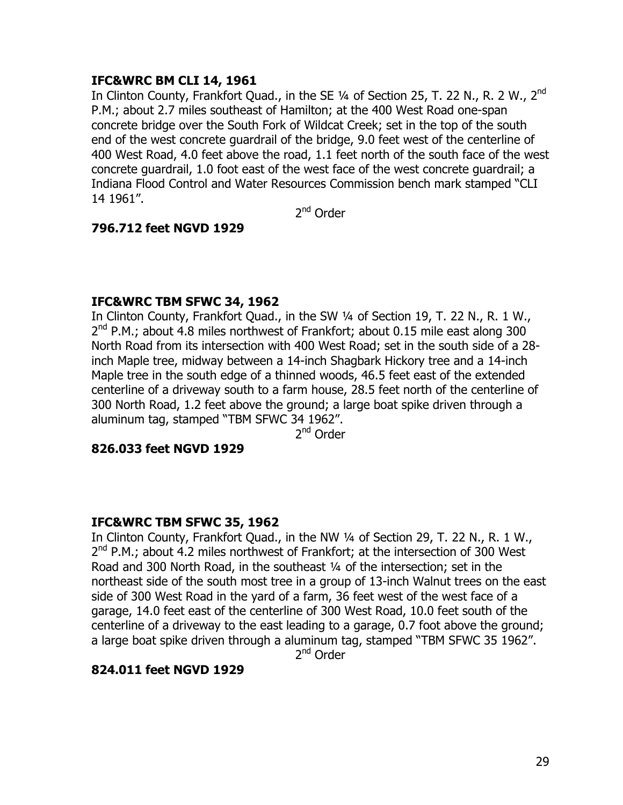## **IFC&WRC BM CLI 14, 1961**

In Clinton County, Frankfort Quad., in the SE  $\frac{1}{4}$  of Section 25, T. 22 N., R. 2 W., 2<sup>nd</sup> P.M.; about 2.7 miles southeast of Hamilton; at the 400 West Road one-span concrete bridge over the South Fork of Wildcat Creek; set in the top of the south end of the west concrete guardrail of the bridge, 9.0 feet west of the centerline of 400 West Road, 4.0 feet above the road, 1.1 feet north of the south face of the west concrete guardrail, 1.0 foot east of the west face of the west concrete guardrail; a Indiana Flood Control and Water Resources Commission bench mark stamped "CLI 14 1961".

2<sup>nd</sup> Order

## **796.712 feet NGVD 1929**

## **IFC&WRC TBM SFWC 34, 1962**

In Clinton County, Frankfort Quad., in the SW ¼ of Section 19, T. 22 N., R. 1 W.,  $2^{nd}$  P.M.; about 4.8 miles northwest of Frankfort; about 0.15 mile east along 300 North Road from its intersection with 400 West Road; set in the south side of a 28 inch Maple tree, midway between a 14-inch Shagbark Hickory tree and a 14-inch Maple tree in the south edge of a thinned woods, 46.5 feet east of the extended centerline of a driveway south to a farm house, 28.5 feet north of the centerline of 300 North Road, 1.2 feet above the ground; a large boat spike driven through a aluminum tag, stamped "TBM SFWC 34 1962".

2<sup>nd</sup> Order

#### **826.033 feet NGVD 1929**

#### **IFC&WRC TBM SFWC 35, 1962**

In Clinton County, Frankfort Quad., in the NW ¼ of Section 29, T. 22 N., R. 1 W.,  $2^{nd}$  P.M.; about 4.2 miles northwest of Frankfort; at the intersection of 300 West Road and 300 North Road, in the southeast ¼ of the intersection; set in the northeast side of the south most tree in a group of 13-inch Walnut trees on the east side of 300 West Road in the yard of a farm, 36 feet west of the west face of a garage, 14.0 feet east of the centerline of 300 West Road, 10.0 feet south of the centerline of a driveway to the east leading to a garage, 0.7 foot above the ground; a large boat spike driven through a aluminum tag, stamped "TBM SFWC 35 1962".

2<sup>nd</sup> Order

## **824.011 feet NGVD 1929**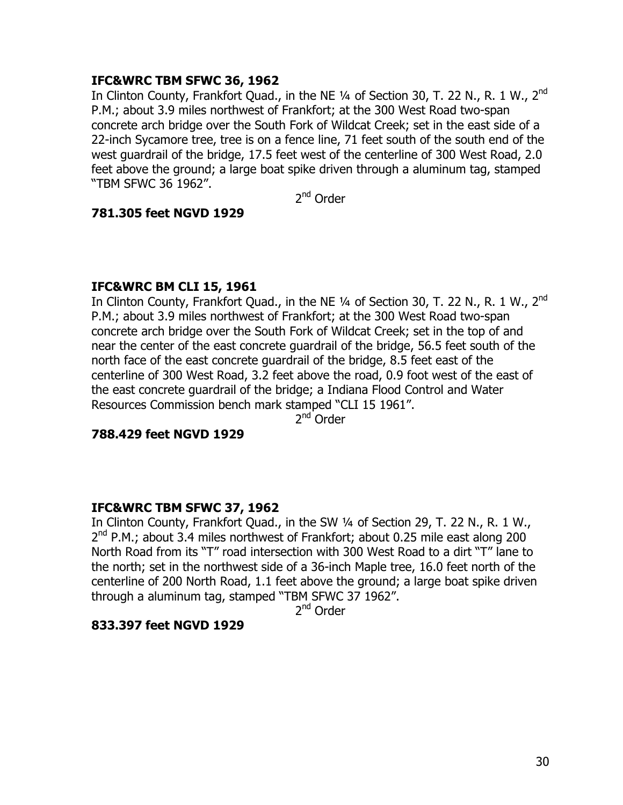## **IFC&WRC TBM SFWC 36, 1962**

In Clinton County, Frankfort Quad., in the NE 1/4 of Section 30, T. 22 N., R. 1 W., 2<sup>nd</sup> P.M.; about 3.9 miles northwest of Frankfort; at the 300 West Road two-span concrete arch bridge over the South Fork of Wildcat Creek; set in the east side of a 22-inch Sycamore tree, tree is on a fence line, 71 feet south of the south end of the west guardrail of the bridge, 17.5 feet west of the centerline of 300 West Road, 2.0 feet above the ground; a large boat spike driven through a aluminum tag, stamped "TBM SFWC 36 1962".

2nd Order

#### **781.305 feet NGVD 1929**

#### **IFC&WRC BM CLI 15, 1961**

In Clinton County, Frankfort Quad., in the NE 1/4 of Section 30, T. 22 N., R. 1 W., 2<sup>nd</sup> P.M.; about 3.9 miles northwest of Frankfort; at the 300 West Road two-span concrete arch bridge over the South Fork of Wildcat Creek; set in the top of and near the center of the east concrete guardrail of the bridge, 56.5 feet south of the north face of the east concrete guardrail of the bridge, 8.5 feet east of the centerline of 300 West Road, 3.2 feet above the road, 0.9 foot west of the east of the east concrete guardrail of the bridge; a Indiana Flood Control and Water Resources Commission bench mark stamped "CLI 15 1961".

2<sup>nd</sup> Order

#### **788.429 feet NGVD 1929**

## **IFC&WRC TBM SFWC 37, 1962**

In Clinton County, Frankfort Quad., in the SW ¼ of Section 29, T. 22 N., R. 1 W.,  $2<sup>nd</sup>$  P.M.; about 3.4 miles northwest of Frankfort; about 0.25 mile east along 200 North Road from its "T" road intersection with 300 West Road to a dirt "T" lane to the north; set in the northwest side of a 36-inch Maple tree, 16.0 feet north of the centerline of 200 North Road, 1.1 feet above the ground; a large boat spike driven through a aluminum tag, stamped "TBM SFWC 37 1962".

2<sup>nd</sup> Order

#### **833.397 feet NGVD 1929**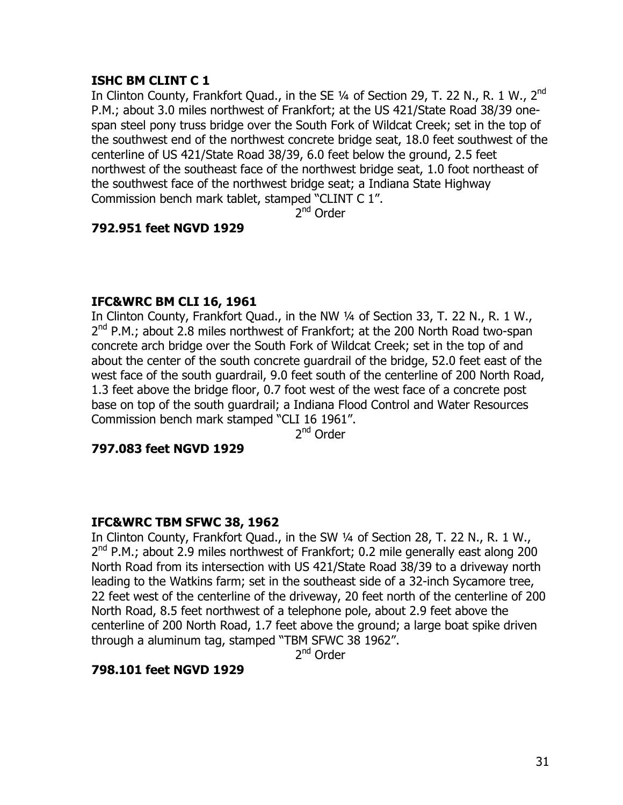## **ISHC BM CLINT C 1**

In Clinton County, Frankfort Quad., in the SE  $\frac{1}{4}$  of Section 29, T. 22 N., R. 1 W., 2<sup>nd</sup> P.M.; about 3.0 miles northwest of Frankfort; at the US 421/State Road 38/39 onespan steel pony truss bridge over the South Fork of Wildcat Creek; set in the top of the southwest end of the northwest concrete bridge seat, 18.0 feet southwest of the centerline of US 421/State Road 38/39, 6.0 feet below the ground, 2.5 feet northwest of the southeast face of the northwest bridge seat, 1.0 foot northeast of the southwest face of the northwest bridge seat; a Indiana State Highway Commission bench mark tablet, stamped "CLINT C 1".

2<sup>nd</sup> Order

## **792.951 feet NGVD 1929**

## **IFC&WRC BM CLI 16, 1961**

In Clinton County, Frankfort Quad., in the NW ¼ of Section 33, T. 22 N., R. 1 W.,  $2<sup>nd</sup>$  P.M.; about 2.8 miles northwest of Frankfort; at the 200 North Road two-span concrete arch bridge over the South Fork of Wildcat Creek; set in the top of and about the center of the south concrete guardrail of the bridge, 52.0 feet east of the west face of the south guardrail, 9.0 feet south of the centerline of 200 North Road, 1.3 feet above the bridge floor, 0.7 foot west of the west face of a concrete post base on top of the south guardrail; a Indiana Flood Control and Water Resources Commission bench mark stamped "CLI 16 1961".

2nd Order

## **797.083 feet NGVD 1929**

#### **IFC&WRC TBM SFWC 38, 1962**

In Clinton County, Frankfort Quad., in the SW ¼ of Section 28, T. 22 N., R. 1 W.,  $2^{nd}$  P.M.; about 2.9 miles northwest of Frankfort; 0.2 mile generally east along 200 North Road from its intersection with US 421/State Road 38/39 to a driveway north leading to the Watkins farm; set in the southeast side of a 32-inch Sycamore tree, 22 feet west of the centerline of the driveway, 20 feet north of the centerline of 200 North Road, 8.5 feet northwest of a telephone pole, about 2.9 feet above the centerline of 200 North Road, 1.7 feet above the ground; a large boat spike driven through a aluminum tag, stamped "TBM SFWC 38 1962".

2<sup>nd</sup> Order

## **798.101 feet NGVD 1929**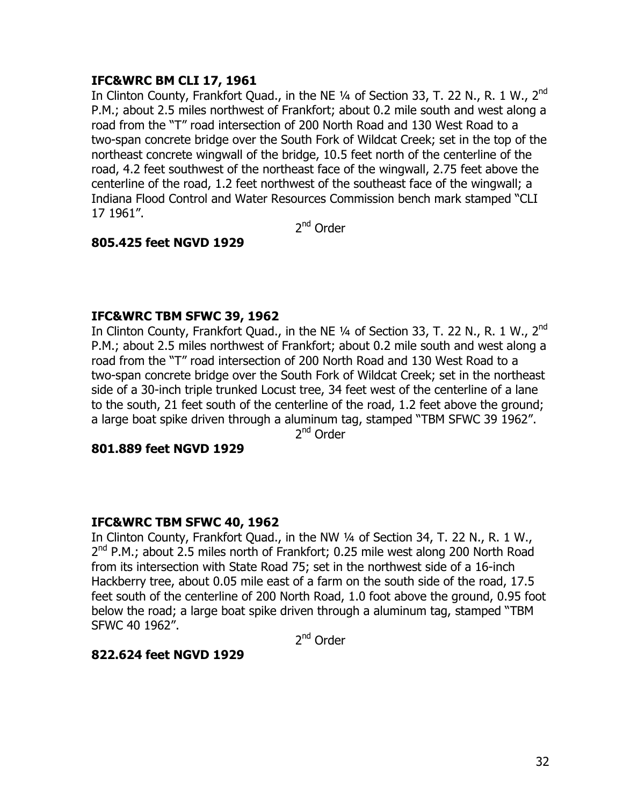## **IFC&WRC BM CLI 17, 1961**

In Clinton County, Frankfort Quad., in the NE 1/4 of Section 33, T. 22 N., R. 1 W., 2<sup>nd</sup> P.M.; about 2.5 miles northwest of Frankfort; about 0.2 mile south and west along a road from the "T" road intersection of 200 North Road and 130 West Road to a two-span concrete bridge over the South Fork of Wildcat Creek; set in the top of the northeast concrete wingwall of the bridge, 10.5 feet north of the centerline of the road, 4.2 feet southwest of the northeast face of the wingwall, 2.75 feet above the centerline of the road, 1.2 feet northwest of the southeast face of the wingwall; a Indiana Flood Control and Water Resources Commission bench mark stamped "CLI 17 1961".

2<sup>nd</sup> Order

## **805.425 feet NGVD 1929**

## **IFC&WRC TBM SFWC 39, 1962**

In Clinton County, Frankfort Quad., in the NE  $\frac{1}{4}$  of Section 33, T. 22 N., R. 1 W., 2<sup>nd</sup> P.M.; about 2.5 miles northwest of Frankfort; about 0.2 mile south and west along a road from the "T" road intersection of 200 North Road and 130 West Road to a two-span concrete bridge over the South Fork of Wildcat Creek; set in the northeast side of a 30-inch triple trunked Locust tree, 34 feet west of the centerline of a lane to the south, 21 feet south of the centerline of the road, 1.2 feet above the ground; a large boat spike driven through a aluminum tag, stamped "TBM SFWC 39 1962".

2<sup>nd</sup> Order

## **801.889 feet NGVD 1929**

## **IFC&WRC TBM SFWC 40, 1962**

In Clinton County, Frankfort Quad., in the NW ¼ of Section 34, T. 22 N., R. 1 W.,  $2^{nd}$  P.M.; about 2.5 miles north of Frankfort; 0.25 mile west along 200 North Road from its intersection with State Road 75; set in the northwest side of a 16-inch Hackberry tree, about 0.05 mile east of a farm on the south side of the road, 17.5 feet south of the centerline of 200 North Road, 1.0 foot above the ground, 0.95 foot below the road; a large boat spike driven through a aluminum tag, stamped "TBM SFWC 40 1962".

2<sup>nd</sup> Order

#### **822.624 feet NGVD 1929**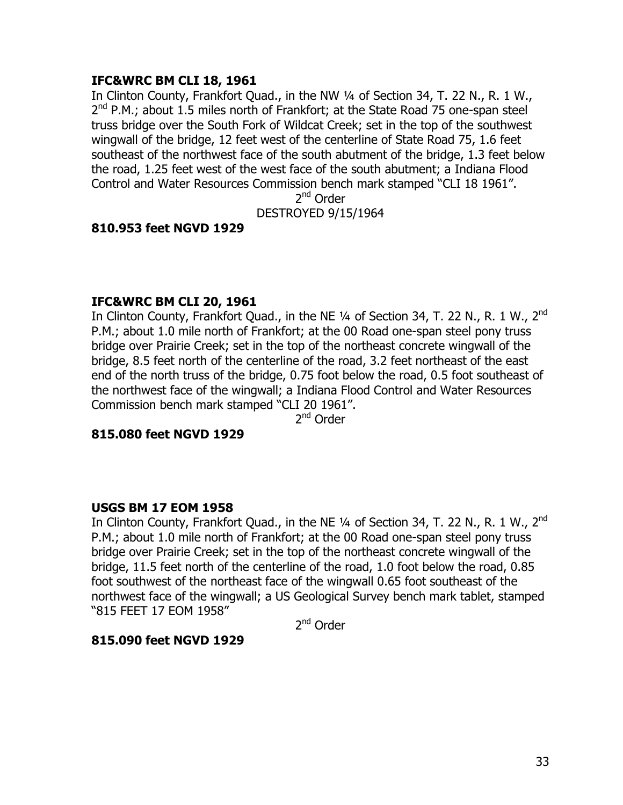## **IFC&WRC BM CLI 18, 1961**

In Clinton County, Frankfort Quad., in the NW ¼ of Section 34, T. 22 N., R. 1 W.,  $2^{nd}$  P.M.; about 1.5 miles north of Frankfort; at the State Road 75 one-span steel truss bridge over the South Fork of Wildcat Creek; set in the top of the southwest wingwall of the bridge, 12 feet west of the centerline of State Road 75, 1.6 feet southeast of the northwest face of the south abutment of the bridge, 1.3 feet below the road, 1.25 feet west of the west face of the south abutment; a Indiana Flood Control and Water Resources Commission bench mark stamped "CLI 18 1961".

2nd Order

DESTROYED 9/15/1964

## **810.953 feet NGVD 1929**

#### **IFC&WRC BM CLI 20, 1961**

In Clinton County, Frankfort Quad., in the NE 1/4 of Section 34, T. 22 N., R. 1 W., 2<sup>nd</sup> P.M.; about 1.0 mile north of Frankfort; at the 00 Road one-span steel pony truss bridge over Prairie Creek; set in the top of the northeast concrete wingwall of the bridge, 8.5 feet north of the centerline of the road, 3.2 feet northeast of the east end of the north truss of the bridge, 0.75 foot below the road, 0.5 foot southeast of the northwest face of the wingwall; a Indiana Flood Control and Water Resources Commission bench mark stamped "CLI 20 1961".

2<sup>nd</sup> Order

#### **815.080 feet NGVD 1929**

#### **USGS BM 17 EOM 1958**

In Clinton County, Frankfort Quad., in the NE  $\frac{1}{4}$  of Section 34, T. 22 N., R. 1 W., 2<sup>nd</sup> P.M.; about 1.0 mile north of Frankfort; at the 00 Road one-span steel pony truss bridge over Prairie Creek; set in the top of the northeast concrete wingwall of the bridge, 11.5 feet north of the centerline of the road, 1.0 foot below the road, 0.85 foot southwest of the northeast face of the wingwall 0.65 foot southeast of the northwest face of the wingwall; a US Geological Survey bench mark tablet, stamped "815 FEET 17 EOM 1958"

2nd Order

#### **815.090 feet NGVD 1929**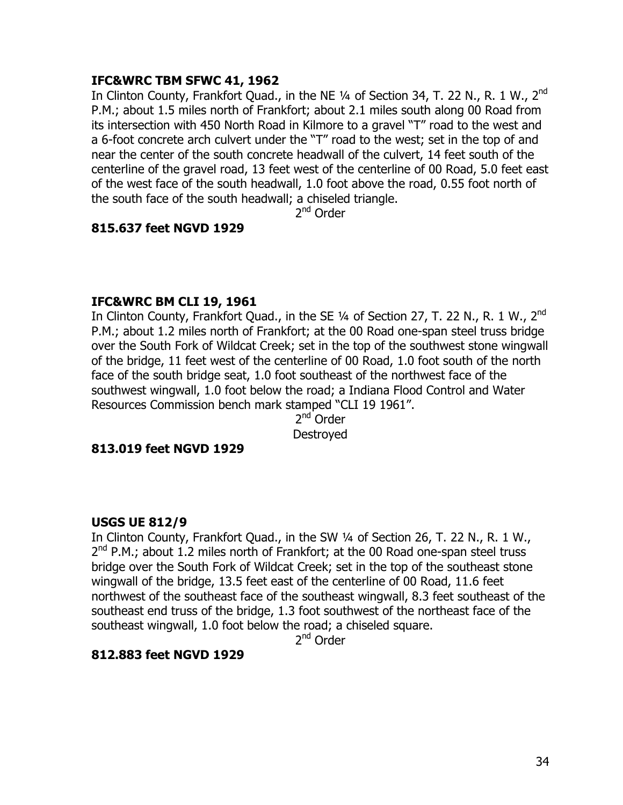## **IFC&WRC TBM SFWC 41, 1962**

In Clinton County, Frankfort Quad., in the NE 1/4 of Section 34, T. 22 N., R. 1 W., 2<sup>nd</sup> P.M.; about 1.5 miles north of Frankfort; about 2.1 miles south along 00 Road from its intersection with 450 North Road in Kilmore to a gravel "T" road to the west and a 6-foot concrete arch culvert under the "T" road to the west; set in the top of and near the center of the south concrete headwall of the culvert, 14 feet south of the centerline of the gravel road, 13 feet west of the centerline of 00 Road, 5.0 feet east of the west face of the south headwall, 1.0 foot above the road, 0.55 foot north of the south face of the south headwall; a chiseled triangle.

2<sup>nd</sup> Order

## **815.637 feet NGVD 1929**

#### **IFC&WRC BM CLI 19, 1961**

In Clinton County, Frankfort Quad., in the SE 1/4 of Section 27, T. 22 N., R. 1 W., 2<sup>nd</sup> P.M.; about 1.2 miles north of Frankfort; at the 00 Road one-span steel truss bridge over the South Fork of Wildcat Creek; set in the top of the southwest stone wingwall of the bridge, 11 feet west of the centerline of 00 Road, 1.0 foot south of the north face of the south bridge seat, 1.0 foot southeast of the northwest face of the southwest wingwall, 1.0 foot below the road; a Indiana Flood Control and Water Resources Commission bench mark stamped "CLI 19 1961".

2<sup>nd</sup> Order Destroyed

#### **813.019 feet NGVD 1929**

#### **USGS UE 812/9**

In Clinton County, Frankfort Quad., in the SW ¼ of Section 26, T. 22 N., R. 1 W.,  $2^{nd}$  P.M.; about 1.2 miles north of Frankfort; at the 00 Road one-span steel truss bridge over the South Fork of Wildcat Creek; set in the top of the southeast stone wingwall of the bridge, 13.5 feet east of the centerline of 00 Road, 11.6 feet northwest of the southeast face of the southeast wingwall, 8.3 feet southeast of the southeast end truss of the bridge, 1.3 foot southwest of the northeast face of the southeast wingwall, 1.0 foot below the road; a chiseled square.

2<sup>nd</sup> Order

#### **812.883 feet NGVD 1929**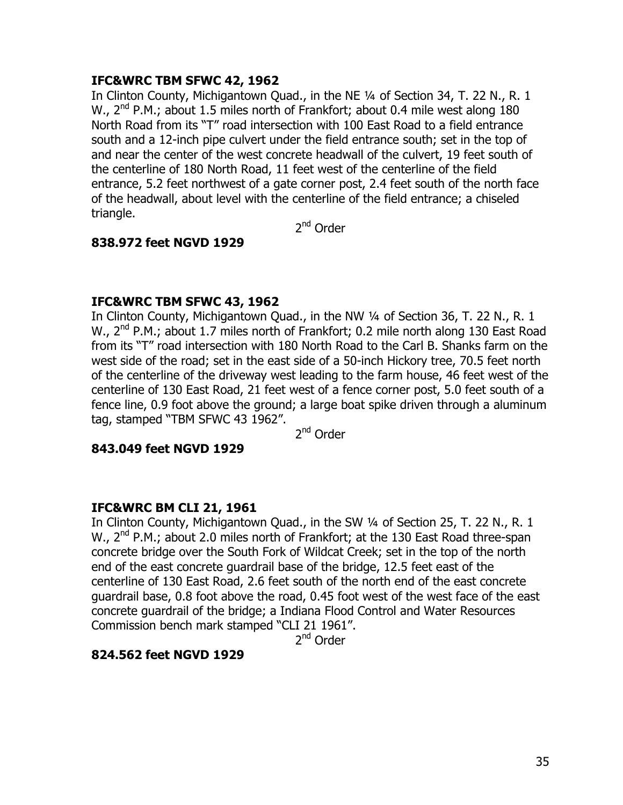## **IFC&WRC TBM SFWC 42, 1962**

In Clinton County, Michigantown Quad., in the NE ¼ of Section 34, T. 22 N., R. 1 W., 2<sup>nd</sup> P.M.; about 1.5 miles north of Frankfort; about 0.4 mile west along 180 North Road from its "T" road intersection with 100 East Road to a field entrance south and a 12-inch pipe culvert under the field entrance south; set in the top of and near the center of the west concrete headwall of the culvert, 19 feet south of the centerline of 180 North Road, 11 feet west of the centerline of the field entrance, 5.2 feet northwest of a gate corner post, 2.4 feet south of the north face of the headwall, about level with the centerline of the field entrance; a chiseled triangle.

2<sup>nd</sup> Order

## **838.972 feet NGVD 1929**

## **IFC&WRC TBM SFWC 43, 1962**

In Clinton County, Michigantown Quad., in the NW 1/4 of Section 36, T. 22 N., R. 1 W., 2<sup>nd</sup> P.M.; about 1.7 miles north of Frankfort; 0.2 mile north along 130 East Road from its "T" road intersection with 180 North Road to the Carl B. Shanks farm on the west side of the road; set in the east side of a 50-inch Hickory tree, 70.5 feet north of the centerline of the driveway west leading to the farm house, 46 feet west of the centerline of 130 East Road, 21 feet west of a fence corner post, 5.0 feet south of a fence line, 0.9 foot above the ground; a large boat spike driven through a aluminum tag, stamped "TBM SFWC 43 1962".

2nd Order

#### **843.049 feet NGVD 1929**

#### **IFC&WRC BM CLI 21, 1961**

In Clinton County, Michigantown Quad., in the SW 1/4 of Section 25, T. 22 N., R. 1 W., 2<sup>nd</sup> P.M.; about 2.0 miles north of Frankfort; at the 130 East Road three-span concrete bridge over the South Fork of Wildcat Creek; set in the top of the north end of the east concrete guardrail base of the bridge, 12.5 feet east of the centerline of 130 East Road, 2.6 feet south of the north end of the east concrete guardrail base, 0.8 foot above the road, 0.45 foot west of the west face of the east concrete guardrail of the bridge; a Indiana Flood Control and Water Resources Commission bench mark stamped "CLI 21 1961".

2<sup>nd</sup> Order

#### **824.562 feet NGVD 1929**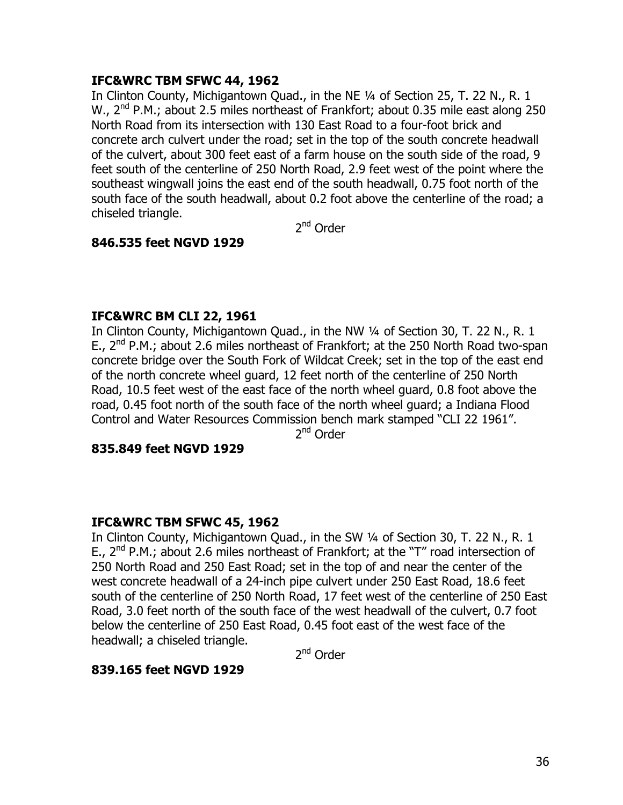## **IFC&WRC TBM SFWC 44, 1962**

In Clinton County, Michigantown Quad., in the NE ¼ of Section 25, T. 22 N., R. 1 W., 2<sup>nd</sup> P.M.; about 2.5 miles northeast of Frankfort; about 0.35 mile east along 250 North Road from its intersection with 130 East Road to a four-foot brick and concrete arch culvert under the road; set in the top of the south concrete headwall of the culvert, about 300 feet east of a farm house on the south side of the road, 9 feet south of the centerline of 250 North Road, 2.9 feet west of the point where the southeast wingwall joins the east end of the south headwall, 0.75 foot north of the south face of the south headwall, about 0.2 foot above the centerline of the road; a chiseled triangle.

2<sup>nd</sup> Order

## **846.535 feet NGVD 1929**

#### **IFC&WRC BM CLI 22, 1961**

In Clinton County, Michigantown Quad., in the NW 1/4 of Section 30, T. 22 N., R. 1 E.,  $2^{nd}$  P.M.; about 2.6 miles northeast of Frankfort; at the 250 North Road two-span concrete bridge over the South Fork of Wildcat Creek; set in the top of the east end of the north concrete wheel guard, 12 feet north of the centerline of 250 North Road, 10.5 feet west of the east face of the north wheel guard, 0.8 foot above the road, 0.45 foot north of the south face of the north wheel guard; a Indiana Flood Control and Water Resources Commission bench mark stamped "CLI 22 1961".

2nd Order

#### **835.849 feet NGVD 1929**

#### **IFC&WRC TBM SFWC 45, 1962**

In Clinton County, Michigantown Quad., in the SW ¼ of Section 30, T. 22 N., R. 1 E.,  $2^{nd}$  P.M.; about 2.6 miles northeast of Frankfort; at the "T" road intersection of 250 North Road and 250 East Road; set in the top of and near the center of the west concrete headwall of a 24-inch pipe culvert under 250 East Road, 18.6 feet south of the centerline of 250 North Road, 17 feet west of the centerline of 250 East Road, 3.0 feet north of the south face of the west headwall of the culvert, 0.7 foot below the centerline of 250 East Road, 0.45 foot east of the west face of the headwall; a chiseled triangle.

2<sup>nd</sup> Order

#### **839.165 feet NGVD 1929**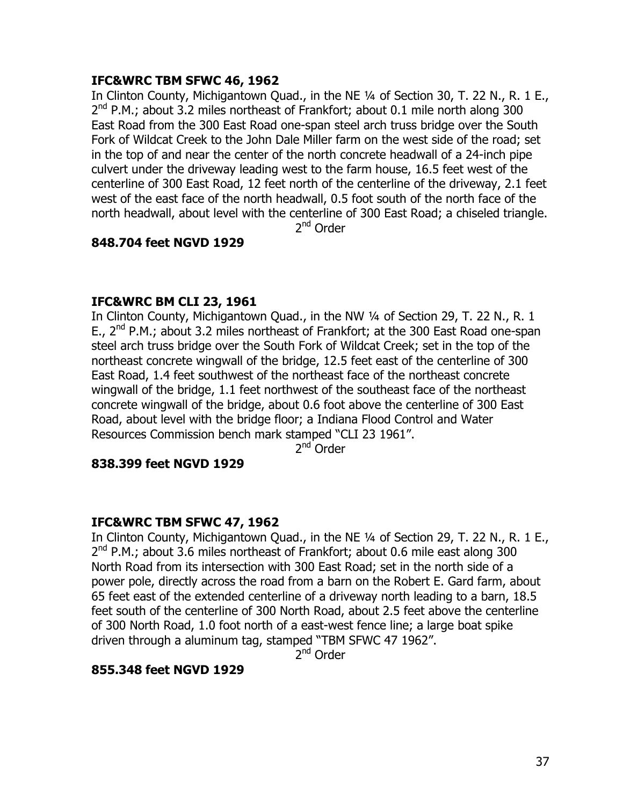## **IFC&WRC TBM SFWC 46, 1962**

In Clinton County, Michigantown Quad., in the NE 1/4 of Section 30, T. 22 N., R. 1 E.,  $2^{nd}$  P.M.; about 3.2 miles northeast of Frankfort; about 0.1 mile north along 300 East Road from the 300 East Road one-span steel arch truss bridge over the South Fork of Wildcat Creek to the John Dale Miller farm on the west side of the road; set in the top of and near the center of the north concrete headwall of a 24-inch pipe culvert under the driveway leading west to the farm house, 16.5 feet west of the centerline of 300 East Road, 12 feet north of the centerline of the driveway, 2.1 feet west of the east face of the north headwall, 0.5 foot south of the north face of the north headwall, about level with the centerline of 300 East Road; a chiseled triangle.

2<sup>nd</sup> Order

## **848.704 feet NGVD 1929**

## **IFC&WRC BM CLI 23, 1961**

In Clinton County, Michigantown Quad., in the NW 1/4 of Section 29, T. 22 N., R. 1 E.,  $2^{nd}$  P.M.; about 3.2 miles northeast of Frankfort; at the 300 East Road one-span steel arch truss bridge over the South Fork of Wildcat Creek; set in the top of the northeast concrete wingwall of the bridge, 12.5 feet east of the centerline of 300 East Road, 1.4 feet southwest of the northeast face of the northeast concrete wingwall of the bridge, 1.1 feet northwest of the southeast face of the northeast concrete wingwall of the bridge, about 0.6 foot above the centerline of 300 East Road, about level with the bridge floor; a Indiana Flood Control and Water Resources Commission bench mark stamped "CLI 23 1961".

 $2<sup>nd</sup>$  Order

#### **838.399 feet NGVD 1929**

#### **IFC&WRC TBM SFWC 47, 1962**

In Clinton County, Michigantown Quad., in the NE 1/4 of Section 29, T. 22 N., R. 1 E.,  $2^{nd}$  P.M.; about 3.6 miles northeast of Frankfort; about 0.6 mile east along 300 North Road from its intersection with 300 East Road; set in the north side of a power pole, directly across the road from a barn on the Robert E. Gard farm, about 65 feet east of the extended centerline of a driveway north leading to a barn, 18.5 feet south of the centerline of 300 North Road, about 2.5 feet above the centerline of 300 North Road, 1.0 foot north of a east-west fence line; a large boat spike driven through a aluminum tag, stamped "TBM SFWC 47 1962".

2<sup>nd</sup> Order

#### **855.348 feet NGVD 1929**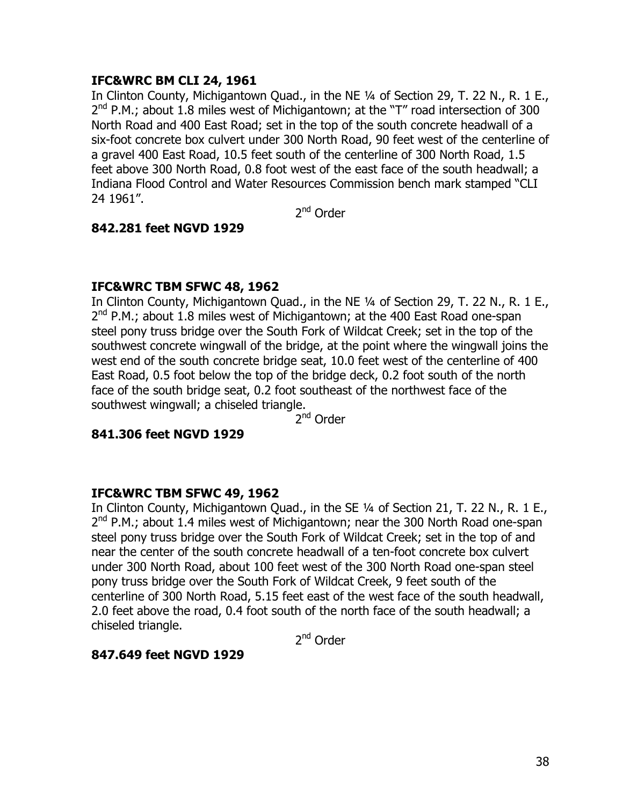## **IFC&WRC BM CLI 24, 1961**

In Clinton County, Michigantown Quad., in the NE 1/4 of Section 29, T. 22 N., R. 1 E.,  $2^{nd}$  P.M.; about 1.8 miles west of Michigantown; at the "T" road intersection of 300 North Road and 400 East Road; set in the top of the south concrete headwall of a six-foot concrete box culvert under 300 North Road, 90 feet west of the centerline of a gravel 400 East Road, 10.5 feet south of the centerline of 300 North Road, 1.5 feet above 300 North Road, 0.8 foot west of the east face of the south headwall; a Indiana Flood Control and Water Resources Commission bench mark stamped "CLI 24 1961".

2<sup>nd</sup> Order

## **842.281 feet NGVD 1929**

#### **IFC&WRC TBM SFWC 48, 1962**

In Clinton County, Michigantown Quad., in the NE 1/4 of Section 29, T. 22 N., R. 1 E.,  $2^{nd}$  P.M.; about 1.8 miles west of Michigantown; at the 400 East Road one-span steel pony truss bridge over the South Fork of Wildcat Creek; set in the top of the southwest concrete wingwall of the bridge, at the point where the wingwall joins the west end of the south concrete bridge seat, 10.0 feet west of the centerline of 400 East Road, 0.5 foot below the top of the bridge deck, 0.2 foot south of the north face of the south bridge seat, 0.2 foot southeast of the northwest face of the southwest wingwall; a chiseled triangle.

2nd Order

#### **841.306 feet NGVD 1929**

#### **IFC&WRC TBM SFWC 49, 1962**

In Clinton County, Michigantown Quad., in the SE ¼ of Section 21, T. 22 N., R. 1 E.,  $2<sup>nd</sup>$  P.M.; about 1.4 miles west of Michigantown; near the 300 North Road one-span steel pony truss bridge over the South Fork of Wildcat Creek; set in the top of and near the center of the south concrete headwall of a ten-foot concrete box culvert under 300 North Road, about 100 feet west of the 300 North Road one-span steel pony truss bridge over the South Fork of Wildcat Creek, 9 feet south of the centerline of 300 North Road, 5.15 feet east of the west face of the south headwall, 2.0 feet above the road, 0.4 foot south of the north face of the south headwall; a chiseled triangle.

2<sup>nd</sup> Order

#### **847.649 feet NGVD 1929**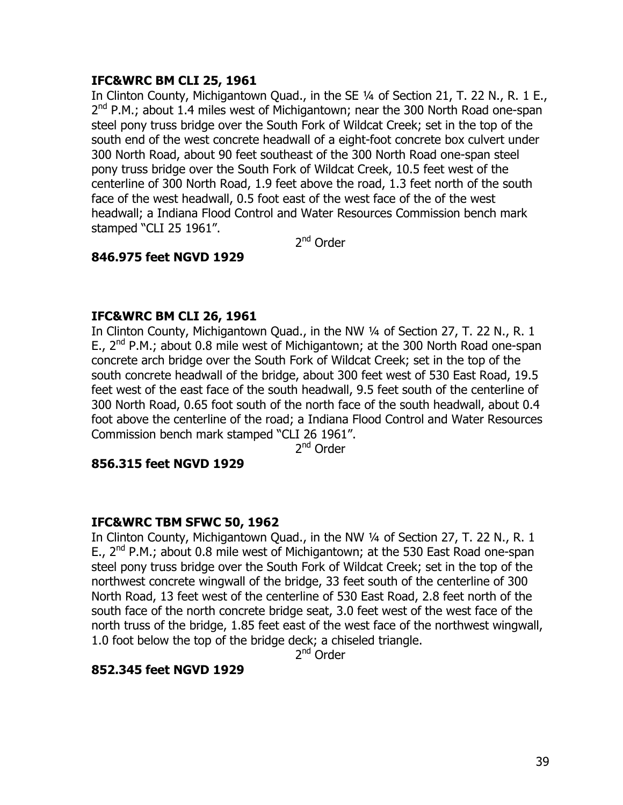## **IFC&WRC BM CLI 25, 1961**

In Clinton County, Michigantown Ouad., in the SE 1/4 of Section 21, T. 22 N., R. 1 E.,  $2^{nd}$  P.M.; about 1.4 miles west of Michigantown; near the 300 North Road one-span steel pony truss bridge over the South Fork of Wildcat Creek; set in the top of the south end of the west concrete headwall of a eight-foot concrete box culvert under 300 North Road, about 90 feet southeast of the 300 North Road one-span steel pony truss bridge over the South Fork of Wildcat Creek, 10.5 feet west of the centerline of 300 North Road, 1.9 feet above the road, 1.3 feet north of the south face of the west headwall, 0.5 foot east of the west face of the of the west headwall; a Indiana Flood Control and Water Resources Commission bench mark stamped "CLI 25 1961".

2nd Order

## **846.975 feet NGVD 1929**

## **IFC&WRC BM CLI 26, 1961**

In Clinton County, Michigantown Quad., in the NW 1/4 of Section 27, T. 22 N., R. 1 E.,  $2^{nd}$  P.M.; about 0.8 mile west of Michigantown; at the 300 North Road one-span concrete arch bridge over the South Fork of Wildcat Creek; set in the top of the south concrete headwall of the bridge, about 300 feet west of 530 East Road, 19.5 feet west of the east face of the south headwall, 9.5 feet south of the centerline of 300 North Road, 0.65 foot south of the north face of the south headwall, about 0.4 foot above the centerline of the road; a Indiana Flood Control and Water Resources Commission bench mark stamped "CLI 26 1961".

2<sup>nd</sup> Order

#### **856.315 feet NGVD 1929**

#### **IFC&WRC TBM SFWC 50, 1962**

In Clinton County, Michigantown Quad., in the NW 1/4 of Section 27, T. 22 N., R. 1 E.,  $2^{nd}$  P.M.; about 0.8 mile west of Michigantown; at the 530 East Road one-span steel pony truss bridge over the South Fork of Wildcat Creek; set in the top of the northwest concrete wingwall of the bridge, 33 feet south of the centerline of 300 North Road, 13 feet west of the centerline of 530 East Road, 2.8 feet north of the south face of the north concrete bridge seat, 3.0 feet west of the west face of the north truss of the bridge, 1.85 feet east of the west face of the northwest wingwall, 1.0 foot below the top of the bridge deck; a chiseled triangle.

2<sup>nd</sup> Order

## **852.345 feet NGVD 1929**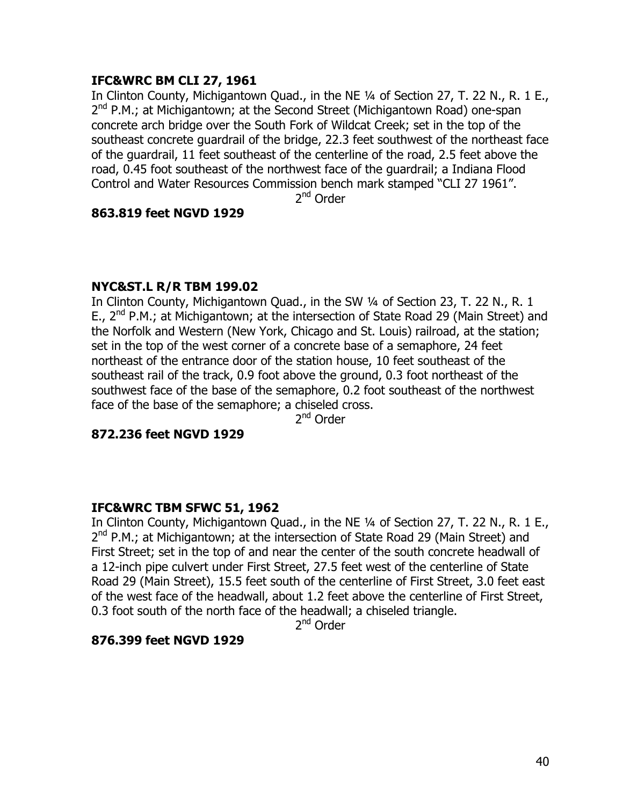## **IFC&WRC BM CLI 27, 1961**

In Clinton County, Michigantown Quad., in the NE 1/4 of Section 27, T. 22 N., R. 1 E., 2<sup>nd</sup> P.M.; at Michigantown; at the Second Street (Michigantown Road) one-span concrete arch bridge over the South Fork of Wildcat Creek; set in the top of the southeast concrete guardrail of the bridge, 22.3 feet southwest of the northeast face of the guardrail, 11 feet southeast of the centerline of the road, 2.5 feet above the road, 0.45 foot southeast of the northwest face of the guardrail; a Indiana Flood Control and Water Resources Commission bench mark stamped "CLI 27 1961".

2nd Order

#### **863.819 feet NGVD 1929**

#### **NYC&ST.L R/R TBM 199.02**

In Clinton County, Michigantown Quad., in the SW ¼ of Section 23, T. 22 N., R. 1 E.,  $2^{nd}$  P.M.; at Michigantown; at the intersection of State Road 29 (Main Street) and the Norfolk and Western (New York, Chicago and St. Louis) railroad, at the station; set in the top of the west corner of a concrete base of a semaphore, 24 feet northeast of the entrance door of the station house, 10 feet southeast of the southeast rail of the track, 0.9 foot above the ground, 0.3 foot northeast of the southwest face of the base of the semaphore, 0.2 foot southeast of the northwest face of the base of the semaphore; a chiseled cross.

2<sup>nd</sup> Order

#### **872.236 feet NGVD 1929**

#### **IFC&WRC TBM SFWC 51, 1962**

In Clinton County, Michigantown Quad., in the NE 1/4 of Section 27, T. 22 N., R. 1 E., 2<sup>nd</sup> P.M.; at Michigantown; at the intersection of State Road 29 (Main Street) and First Street; set in the top of and near the center of the south concrete headwall of a 12-inch pipe culvert under First Street, 27.5 feet west of the centerline of State Road 29 (Main Street), 15.5 feet south of the centerline of First Street, 3.0 feet east of the west face of the headwall, about 1.2 feet above the centerline of First Street, 0.3 foot south of the north face of the headwall; a chiseled triangle.

2nd Order

#### **876.399 feet NGVD 1929**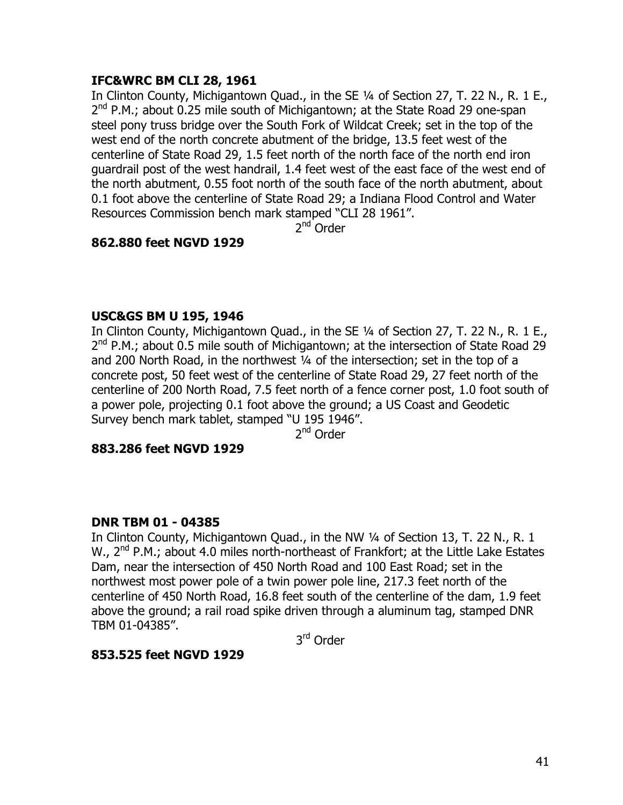## **IFC&WRC BM CLI 28, 1961**

In Clinton County, Michigantown Quad., in the SE ¼ of Section 27, T. 22 N., R. 1 E., 2<sup>nd</sup> P.M.; about 0.25 mile south of Michigantown; at the State Road 29 one-span steel pony truss bridge over the South Fork of Wildcat Creek; set in the top of the west end of the north concrete abutment of the bridge, 13.5 feet west of the centerline of State Road 29, 1.5 feet north of the north face of the north end iron guardrail post of the west handrail, 1.4 feet west of the east face of the west end of the north abutment, 0.55 foot north of the south face of the north abutment, about 0.1 foot above the centerline of State Road 29; a Indiana Flood Control and Water Resources Commission bench mark stamped "CLI 28 1961".

2<sup>nd</sup> Order

## **862.880 feet NGVD 1929**

#### **USC&GS BM U 195, 1946**

In Clinton County, Michigantown Quad., in the SE ¼ of Section 27, T. 22 N., R. 1 E.,  $2^{nd}$  P.M.; about 0.5 mile south of Michigantown; at the intersection of State Road 29 and 200 North Road, in the northwest ¼ of the intersection; set in the top of a concrete post, 50 feet west of the centerline of State Road 29, 27 feet north of the centerline of 200 North Road, 7.5 feet north of a fence corner post, 1.0 foot south of a power pole, projecting 0.1 foot above the ground; a US Coast and Geodetic Survey bench mark tablet, stamped "U 195 1946".

2nd Order

#### **883.286 feet NGVD 1929**

#### **DNR TBM 01 - 04385**

In Clinton County, Michigantown Quad., in the NW ¼ of Section 13, T. 22 N., R. 1 W.,  $2^{nd}$  P.M.; about 4.0 miles north-northeast of Frankfort; at the Little Lake Estates Dam, near the intersection of 450 North Road and 100 East Road; set in the northwest most power pole of a twin power pole line, 217.3 feet north of the centerline of 450 North Road, 16.8 feet south of the centerline of the dam, 1.9 feet above the ground; a rail road spike driven through a aluminum tag, stamped DNR TBM 01-04385".

3rd Order

#### **853.525 feet NGVD 1929**